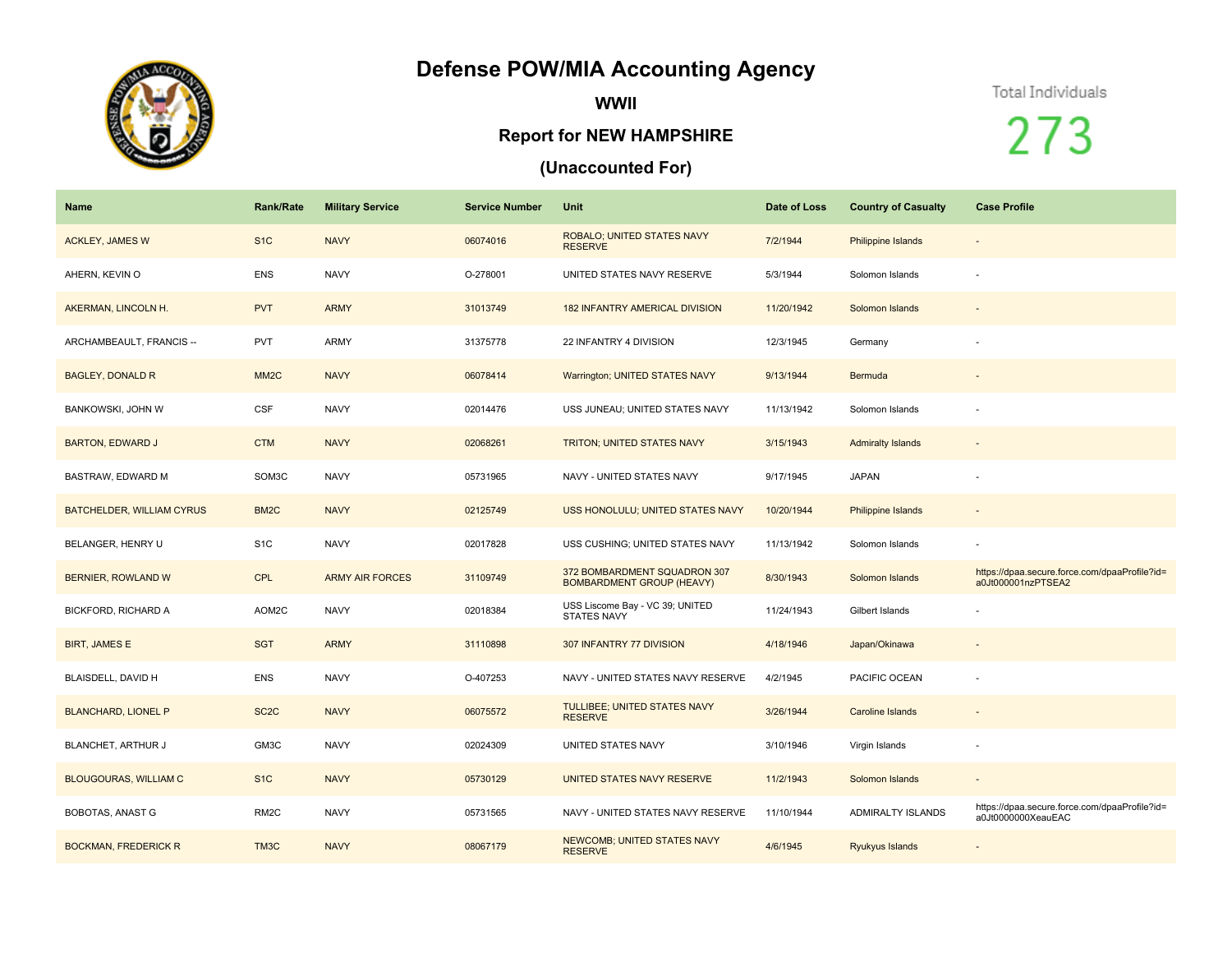## **Defense POW/MIA Accounting Agency**



**WWII**

## **Report for NEW HAMPSHIRE**

## **(Unaccounted For)**

## Total Individuals

273

| <b>Name</b>                  | <b>Rank/Rate</b>  | <b>Military Service</b> | <b>Service Number</b> | Unit                                                             | Date of Loss | <b>Country of Casualty</b> | <b>Case Profile</b>                                                 |
|------------------------------|-------------------|-------------------------|-----------------------|------------------------------------------------------------------|--------------|----------------------------|---------------------------------------------------------------------|
| <b>ACKLEY, JAMES W</b>       | S <sub>1C</sub>   | <b>NAVY</b>             | 06074016              | ROBALO; UNITED STATES NAVY<br><b>RESERVE</b>                     | 7/2/1944     | Philippine Islands         | $\overline{\phantom{a}}$                                            |
| AHERN, KEVIN O               | <b>ENS</b>        | <b>NAVY</b>             | O-278001              | UNITED STATES NAVY RESERVE                                       | 5/3/1944     | Solomon Islands            |                                                                     |
| AKERMAN, LINCOLN H.          | <b>PVT</b>        | <b>ARMY</b>             | 31013749              | <b>182 INFANTRY AMERICAL DIVISION</b>                            | 11/20/1942   | Solomon Islands            |                                                                     |
| ARCHAMBEAULT, FRANCIS --     | <b>PVT</b>        | ARMY                    | 31375778              | 22 INFANTRY 4 DIVISION                                           | 12/3/1945    | Germany                    |                                                                     |
| <b>BAGLEY, DONALD R</b>      | MM <sub>2</sub> C | <b>NAVY</b>             | 06078414              | Warrington; UNITED STATES NAVY                                   | 9/13/1944    | Bermuda                    |                                                                     |
| <b>BANKOWSKI, JOHN W</b>     | <b>CSF</b>        | <b>NAVY</b>             | 02014476              | USS JUNEAU; UNITED STATES NAVY                                   | 11/13/1942   | Solomon Islands            |                                                                     |
| <b>BARTON, EDWARD J</b>      | <b>CTM</b>        | <b>NAVY</b>             | 02068261              | <b>TRITON; UNITED STATES NAVY</b>                                | 3/15/1943    | <b>Admiralty Islands</b>   |                                                                     |
| BASTRAW, EDWARD M            | SOM3C             | <b>NAVY</b>             | 05731965              | NAVY - UNITED STATES NAVY                                        | 9/17/1945    | <b>JAPAN</b>               | $\sim$                                                              |
| BATCHELDER, WILLIAM CYRUS    | BM <sub>2</sub> C | <b>NAVY</b>             | 02125749              | USS HONOLULU; UNITED STATES NAVY                                 | 10/20/1944   | Philippine Islands         | $\overline{\phantom{a}}$                                            |
| BELANGER, HENRY U            | S <sub>1</sub> C  | <b>NAVY</b>             | 02017828              | USS CUSHING; UNITED STATES NAVY                                  | 11/13/1942   | Solomon Islands            |                                                                     |
| BERNIER, ROWLAND W           | <b>CPL</b>        | <b>ARMY AIR FORCES</b>  | 31109749              | 372 BOMBARDMENT SQUADRON 307<br><b>BOMBARDMENT GROUP (HEAVY)</b> | 8/30/1943    | Solomon Islands            | https://dpaa.secure.force.com/dpaaProfile?id=<br>a0Jt000001nzPTSEA2 |
| BICKFORD, RICHARD A          | AOM2C             | <b>NAVY</b>             | 02018384              | USS Liscome Bay - VC 39; UNITED<br><b>STATES NAVY</b>            | 11/24/1943   | Gilbert Islands            |                                                                     |
| <b>BIRT, JAMES E</b>         | <b>SGT</b>        | <b>ARMY</b>             | 31110898              | 307 INFANTRY 77 DIVISION                                         | 4/18/1946    | Japan/Okinawa              |                                                                     |
| BLAISDELL, DAVID H           | <b>ENS</b>        | <b>NAVY</b>             | O-407253              | NAVY - UNITED STATES NAVY RESERVE                                | 4/2/1945     | PACIFIC OCEAN              |                                                                     |
| <b>BLANCHARD, LIONEL P</b>   | SC <sub>2</sub> C | <b>NAVY</b>             | 06075572              | TULLIBEE; UNITED STATES NAVY<br><b>RESERVE</b>                   | 3/26/1944    | <b>Caroline Islands</b>    |                                                                     |
| BLANCHET, ARTHUR J           | GM3C              | <b>NAVY</b>             | 02024309              | UNITED STATES NAVY                                               | 3/10/1946    | Virgin Islands             | $\sim$                                                              |
| <b>BLOUGOURAS, WILLIAM C</b> | S <sub>1</sub> C  | <b>NAVY</b>             | 05730129              | UNITED STATES NAVY RESERVE                                       | 11/2/1943    | Solomon Islands            | $\sim$                                                              |
| <b>BOBOTAS, ANAST G</b>      | RM <sub>2</sub> C | <b>NAVY</b>             | 05731565              | NAVY - UNITED STATES NAVY RESERVE                                | 11/10/1944   | ADMIRALTY ISLANDS          | https://dpaa.secure.force.com/dpaaProfile?id=<br>a0Jt0000000XeauEAC |
| <b>BOCKMAN, FREDERICK R</b>  | TM3C              | <b>NAVY</b>             | 08067179              | <b>NEWCOMB; UNITED STATES NAVY</b><br><b>RESERVE</b>             | 4/6/1945     | Ryukyus Islands            |                                                                     |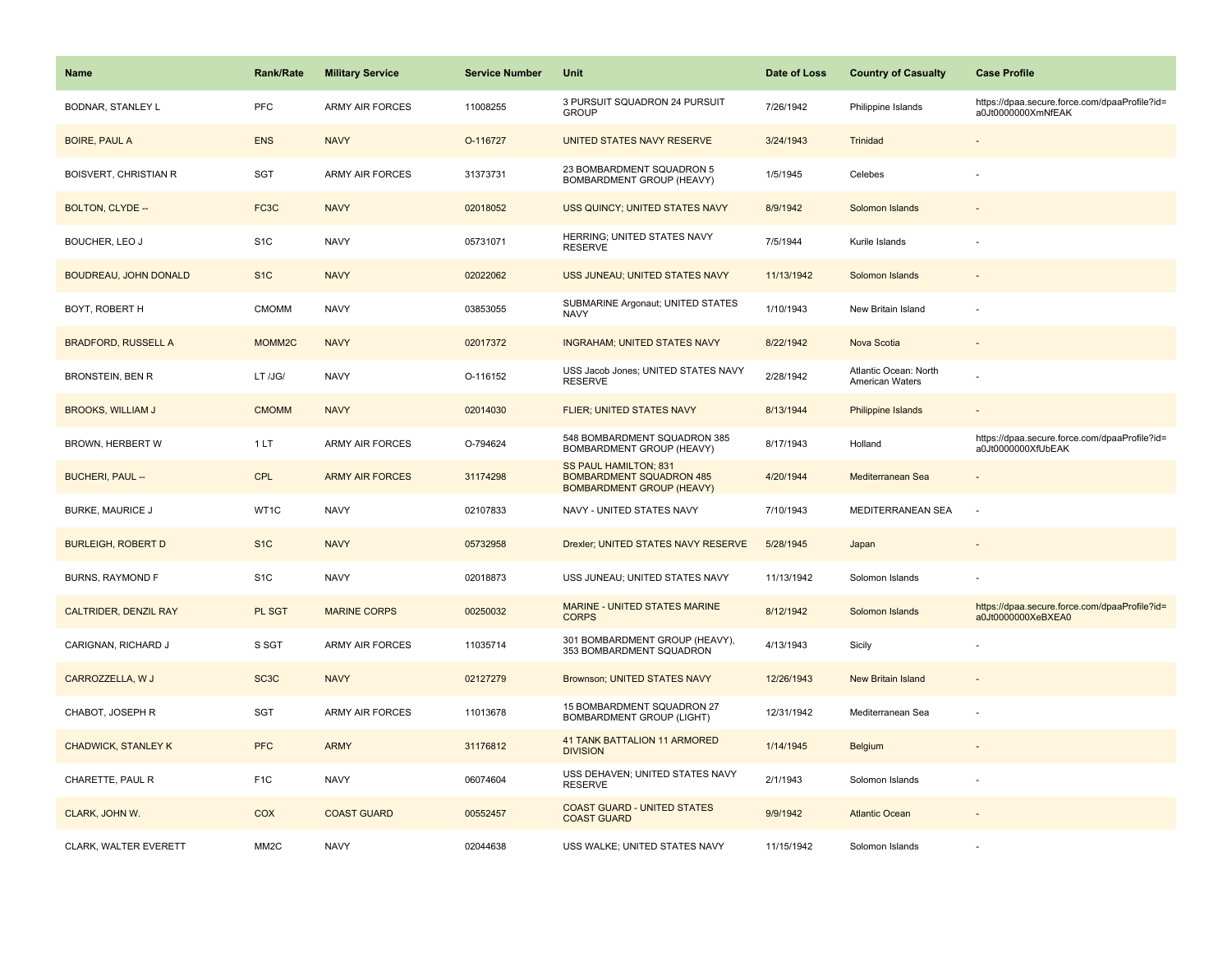| Name                         | <b>Rank/Rate</b>   | <b>Military Service</b> | <b>Service Number</b> | Unit                                                                                         | Date of Loss | <b>Country of Casualty</b>               | <b>Case Profile</b>                                                 |
|------------------------------|--------------------|-------------------------|-----------------------|----------------------------------------------------------------------------------------------|--------------|------------------------------------------|---------------------------------------------------------------------|
| <b>BODNAR, STANLEY L</b>     | PFC                | <b>ARMY AIR FORCES</b>  | 11008255              | 3 PURSUIT SQUADRON 24 PURSUIT<br><b>GROUP</b>                                                | 7/26/1942    | Philippine Islands                       | https://dpaa.secure.force.com/dpaaProfile?id=<br>a0Jt0000000XmNfEAK |
| <b>BOIRE, PAUL A</b>         | <b>ENS</b>         | <b>NAVY</b>             | O-116727              | UNITED STATES NAVY RESERVE                                                                   | 3/24/1943    | Trinidad                                 |                                                                     |
| <b>BOISVERT, CHRISTIAN R</b> | <b>SGT</b>         | <b>ARMY AIR FORCES</b>  | 31373731              | 23 BOMBARDMENT SQUADRON 5<br>BOMBARDMENT GROUP (HEAVY)                                       | 1/5/1945     | Celebes                                  |                                                                     |
| BOLTON, CLYDE --             | FC <sub>3</sub> C  | <b>NAVY</b>             | 02018052              | USS QUINCY; UNITED STATES NAVY                                                               | 8/9/1942     | Solomon Islands                          |                                                                     |
| BOUCHER, LEO J               | S <sub>1</sub> C   | <b>NAVY</b>             | 05731071              | HERRING: UNITED STATES NAVY<br><b>RESERVE</b>                                                | 7/5/1944     | Kurile Islands                           |                                                                     |
| <b>BOUDREAU, JOHN DONALD</b> | S <sub>1</sub> C   | <b>NAVY</b>             | 02022062              | USS JUNEAU; UNITED STATES NAVY                                                               | 11/13/1942   | Solomon Islands                          |                                                                     |
| BOYT, ROBERT H               | <b>CMOMM</b>       | <b>NAVY</b>             | 03853055              | SUBMARINE Argonaut; UNITED STATES<br><b>NAVY</b>                                             | 1/10/1943    | New Britain Island                       |                                                                     |
| <b>BRADFORD, RUSSELL A</b>   | MOMM <sub>2C</sub> | <b>NAVY</b>             | 02017372              | <b>INGRAHAM; UNITED STATES NAVY</b>                                                          | 8/22/1942    | Nova Scotia                              |                                                                     |
| <b>BRONSTEIN, BEN R</b>      | LT /JG/            | <b>NAVY</b>             | O-116152              | USS Jacob Jones; UNITED STATES NAVY<br><b>RESERVE</b>                                        | 2/28/1942    | Atlantic Ocean: North<br>American Waters |                                                                     |
| <b>BROOKS, WILLIAM J</b>     | <b>CMOMM</b>       | <b>NAVY</b>             | 02014030              | FLIER; UNITED STATES NAVY                                                                    | 8/13/1944    | <b>Philippine Islands</b>                |                                                                     |
| BROWN, HERBERT W             | 1LT                | <b>ARMY AIR FORCES</b>  | O-794624              | 548 BOMBARDMENT SQUADRON 385<br>BOMBARDMENT GROUP (HEAVY)                                    | 8/17/1943    | Holland                                  | https://dpaa.secure.force.com/dpaaProfile?id=<br>a0Jt0000000XfUbEAK |
| <b>BUCHERI, PAUL --</b>      | <b>CPL</b>         | <b>ARMY AIR FORCES</b>  | 31174298              | SS PAUL HAMILTON; 831<br><b>BOMBARDMENT SQUADRON 485</b><br><b>BOMBARDMENT GROUP (HEAVY)</b> | 4/20/1944    | Mediterranean Sea                        |                                                                     |
| <b>BURKE, MAURICE J</b>      | WT1C               | <b>NAVY</b>             | 02107833              | NAVY - UNITED STATES NAVY                                                                    | 7/10/1943    | MEDITERRANEAN SEA                        | $\overline{\phantom{a}}$                                            |
| <b>BURLEIGH, ROBERT D</b>    | S <sub>1</sub> C   | <b>NAVY</b>             | 05732958              | Drexler; UNITED STATES NAVY RESERVE                                                          | 5/28/1945    | Japan                                    |                                                                     |
| <b>BURNS, RAYMOND F</b>      | S <sub>1</sub> C   | <b>NAVY</b>             | 02018873              | USS JUNEAU; UNITED STATES NAVY                                                               | 11/13/1942   | Solomon Islands                          |                                                                     |
| <b>CALTRIDER, DENZIL RAY</b> | PL SGT             | <b>MARINE CORPS</b>     | 00250032              | MARINE - UNITED STATES MARINE<br><b>CORPS</b>                                                | 8/12/1942    | Solomon Islands                          | https://dpaa.secure.force.com/dpaaProfile?id=<br>a0Jt0000000XeBXEA0 |
| CARIGNAN, RICHARD J          | S SGT              | <b>ARMY AIR FORCES</b>  | 11035714              | 301 BOMBARDMENT GROUP (HEAVY),<br>353 BOMBARDMENT SQUADRON                                   | 4/13/1943    | Sicily                                   |                                                                     |
| CARROZZELLA, W J             | SC <sub>3</sub> C  | <b>NAVY</b>             | 02127279              | Brownson; UNITED STATES NAVY                                                                 | 12/26/1943   | <b>New Britain Island</b>                |                                                                     |
| CHABOT, JOSEPH R             | <b>SGT</b>         | <b>ARMY AIR FORCES</b>  | 11013678              | 15 BOMBARDMENT SQUADRON 27<br><b>BOMBARDMENT GROUP (LIGHT)</b>                               | 12/31/1942   | Mediterranean Sea                        |                                                                     |
| <b>CHADWICK, STANLEY K</b>   | <b>PFC</b>         | <b>ARMY</b>             | 31176812              | <b>41 TANK BATTALION 11 ARMORED</b><br><b>DIVISION</b>                                       | 1/14/1945    | <b>Belgium</b>                           |                                                                     |
| CHARETTE, PAUL R             | F <sub>1</sub> C   | <b>NAVY</b>             | 06074604              | USS DEHAVEN; UNITED STATES NAVY<br><b>RESERVE</b>                                            | 2/1/1943     | Solomon Islands                          |                                                                     |
| CLARK, JOHN W.               | COX                | <b>COAST GUARD</b>      | 00552457              | <b>COAST GUARD - UNITED STATES</b><br><b>COAST GUARD</b>                                     | 9/9/1942     | <b>Atlantic Ocean</b>                    |                                                                     |
| CLARK, WALTER EVERETT        | MM <sub>2</sub> C  | <b>NAVY</b>             | 02044638              | USS WALKE; UNITED STATES NAVY                                                                | 11/15/1942   | Solomon Islands                          |                                                                     |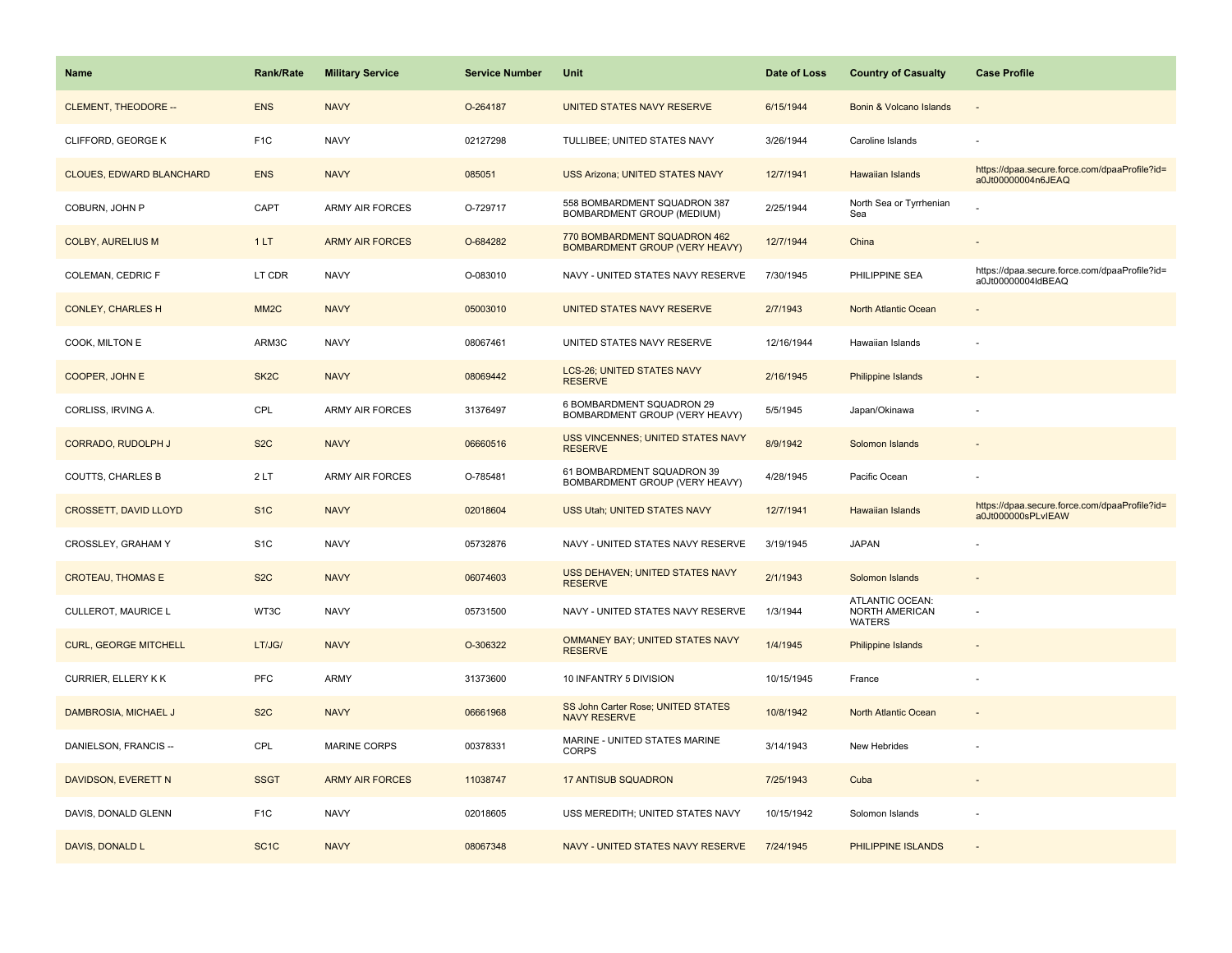| <b>Name</b>                     | <b>Rank/Rate</b>  | <b>Military Service</b> | <b>Service Number</b> | Unit                                                                  | Date of Loss | <b>Country of Casualty</b>                  | <b>Case Profile</b>                                                 |
|---------------------------------|-------------------|-------------------------|-----------------------|-----------------------------------------------------------------------|--------------|---------------------------------------------|---------------------------------------------------------------------|
| <b>CLEMENT, THEODORE --</b>     | <b>ENS</b>        | <b>NAVY</b>             | O-264187              | UNITED STATES NAVY RESERVE                                            | 6/15/1944    | Bonin & Volcano Islands                     |                                                                     |
| CLIFFORD, GEORGE K              | F <sub>1</sub> C  | <b>NAVY</b>             | 02127298              | TULLIBEE; UNITED STATES NAVY                                          | 3/26/1944    | Caroline Islands                            |                                                                     |
| <b>CLOUES, EDWARD BLANCHARD</b> | <b>ENS</b>        | <b>NAVY</b>             | 085051                | <b>USS Arizona; UNITED STATES NAVY</b>                                | 12/7/1941    | <b>Hawaiian Islands</b>                     | https://dpaa.secure.force.com/dpaaProfile?id=<br>a0Jt00000004n6JEAQ |
| COBURN, JOHN P                  | CAPT              | <b>ARMY AIR FORCES</b>  | O-729717              | 558 BOMBARDMENT SQUADRON 387<br>BOMBARDMENT GROUP (MEDIUM)            | 2/25/1944    | North Sea or Tyrrhenian<br>Sea              |                                                                     |
| <b>COLBY, AURELIUS M</b>        | 1LT               | <b>ARMY AIR FORCES</b>  | O-684282              | 770 BOMBARDMENT SQUADRON 462<br><b>BOMBARDMENT GROUP (VERY HEAVY)</b> | 12/7/1944    | China                                       |                                                                     |
| COLEMAN, CEDRIC F               | LT CDR            | <b>NAVY</b>             | O-083010              | NAVY - UNITED STATES NAVY RESERVE                                     | 7/30/1945    | PHILIPPINE SEA                              | https://dpaa.secure.force.com/dpaaProfile?id=<br>a0Jt00000004ldBEAQ |
| <b>CONLEY, CHARLES H</b>        | MM <sub>2</sub> C | <b>NAVY</b>             | 05003010              | UNITED STATES NAVY RESERVE                                            | 2/7/1943     | North Atlantic Ocean                        |                                                                     |
| COOK, MILTON E                  | ARM3C             | <b>NAVY</b>             | 08067461              | UNITED STATES NAVY RESERVE                                            | 12/16/1944   | Hawaiian Islands                            |                                                                     |
| COOPER, JOHN E                  | SK <sub>2</sub> C | <b>NAVY</b>             | 08069442              | LCS-26; UNITED STATES NAVY<br><b>RESERVE</b>                          | 2/16/1945    | <b>Philippine Islands</b>                   |                                                                     |
| CORLISS, IRVING A.              | CPL               | ARMY AIR FORCES         | 31376497              | 6 BOMBARDMENT SQUADRON 29<br>BOMBARDMENT GROUP (VERY HEAVY)           | 5/5/1945     | Japan/Okinawa                               |                                                                     |
| <b>CORRADO, RUDOLPH J</b>       | S <sub>2</sub> C  | <b>NAVY</b>             | 06660516              | <b>USS VINCENNES; UNITED STATES NAVY</b><br><b>RESERVE</b>            | 8/9/1942     | Solomon Islands                             |                                                                     |
| <b>COUTTS, CHARLES B</b>        | 2LT               | <b>ARMY AIR FORCES</b>  | O-785481              | 61 BOMBARDMENT SQUADRON 39<br>BOMBARDMENT GROUP (VERY HEAVY)          | 4/28/1945    | Pacific Ocean                               |                                                                     |
| <b>CROSSETT, DAVID LLOYD</b>    | S <sub>1C</sub>   | <b>NAVY</b>             | 02018604              | <b>USS Utah: UNITED STATES NAVY</b>                                   | 12/7/1941    | <b>Hawaiian Islands</b>                     | https://dpaa.secure.force.com/dpaaProfile?id=<br>a0Jt000000sPLvIEAW |
| CROSSLEY, GRAHAM Y              | S <sub>1</sub> C  | <b>NAVY</b>             | 05732876              | NAVY - UNITED STATES NAVY RESERVE                                     | 3/19/1945    | <b>JAPAN</b>                                |                                                                     |
| <b>CROTEAU, THOMAS E</b>        | S <sub>2</sub> C  | <b>NAVY</b>             | 06074603              | USS DEHAVEN; UNITED STATES NAVY<br><b>RESERVE</b>                     | 2/1/1943     | Solomon Islands                             |                                                                     |
| <b>CULLEROT, MAURICE L</b>      | WT3C              | <b>NAVY</b>             | 05731500              | NAVY - UNITED STATES NAVY RESERVE                                     | 1/3/1944     | ATLANTIC OCEAN:<br>NORTH AMERICAN<br>WATERS |                                                                     |
| <b>CURL, GEORGE MITCHELL</b>    | LT/JG/            | <b>NAVY</b>             | O-306322              | OMMANEY BAY; UNITED STATES NAVY<br><b>RESERVE</b>                     | 1/4/1945     | Philippine Islands                          |                                                                     |
| <b>CURRIER, ELLERY KK</b>       | PFC               | ARMY                    | 31373600              | 10 INFANTRY 5 DIVISION                                                | 10/15/1945   | France                                      |                                                                     |
| DAMBROSIA, MICHAEL J            | S <sub>2</sub> C  | <b>NAVY</b>             | 06661968              | SS John Carter Rose; UNITED STATES<br><b>NAVY RESERVE</b>             | 10/8/1942    | North Atlantic Ocean                        |                                                                     |
| DANIELSON, FRANCIS --           | CPL               | <b>MARINE CORPS</b>     | 00378331              | MARINE - UNITED STATES MARINE<br><b>CORPS</b>                         | 3/14/1943    | New Hebrides                                |                                                                     |
| DAVIDSON, EVERETT N             | <b>SSGT</b>       | <b>ARMY AIR FORCES</b>  | 11038747              | <b>17 ANTISUB SQUADRON</b>                                            | 7/25/1943    | Cuba                                        |                                                                     |
| DAVIS, DONALD GLENN             | F <sub>1</sub> C  | <b>NAVY</b>             | 02018605              | USS MEREDITH; UNITED STATES NAVY                                      | 10/15/1942   | Solomon Islands                             |                                                                     |
| DAVIS, DONALD L                 | SC <sub>1</sub> C | <b>NAVY</b>             | 08067348              | NAVY - UNITED STATES NAVY RESERVE                                     | 7/24/1945    | PHILIPPINE ISLANDS                          |                                                                     |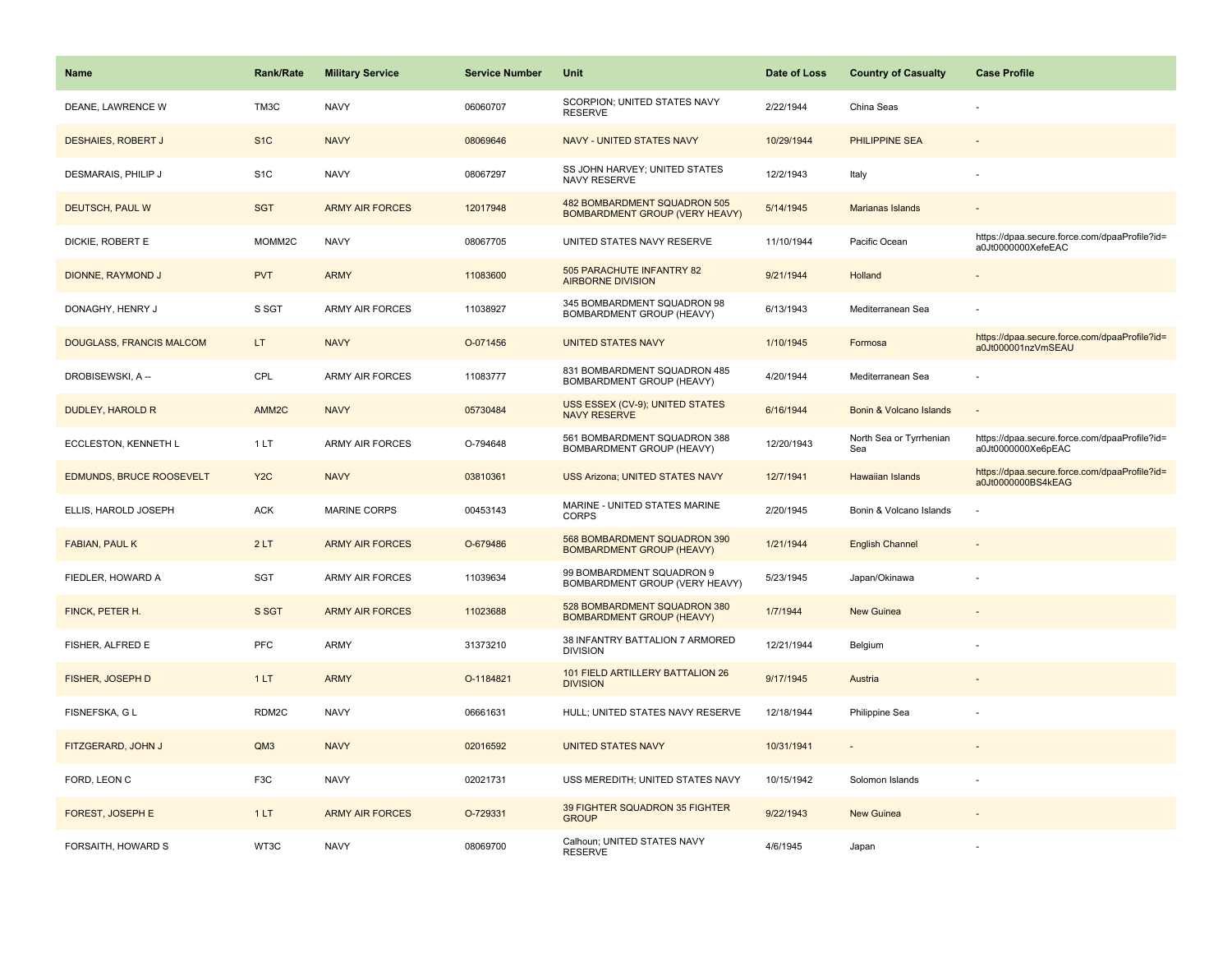| <b>Name</b>                     | Rank/Rate          | <b>Military Service</b> | <b>Service Number</b> | Unit                                                                  | Date of Loss | <b>Country of Casualty</b>     | <b>Case Profile</b>                                                 |
|---------------------------------|--------------------|-------------------------|-----------------------|-----------------------------------------------------------------------|--------------|--------------------------------|---------------------------------------------------------------------|
| DEANE, LAWRENCE W               | TM3C               | <b>NAVY</b>             | 06060707              | SCORPION; UNITED STATES NAVY<br><b>RESERVE</b>                        | 2/22/1944    | China Seas                     |                                                                     |
| <b>DESHAIES, ROBERT J</b>       | S <sub>1</sub> C   | <b>NAVY</b>             | 08069646              | NAVY - UNITED STATES NAVY                                             | 10/29/1944   | PHILIPPINE SEA                 |                                                                     |
| DESMARAIS, PHILIP J             | S <sub>1</sub> C   | <b>NAVY</b>             | 08067297              | SS JOHN HARVEY; UNITED STATES<br>NAVY RESERVE                         | 12/2/1943    | Italy                          |                                                                     |
| DEUTSCH, PAUL W                 | <b>SGT</b>         | <b>ARMY AIR FORCES</b>  | 12017948              | 482 BOMBARDMENT SQUADRON 505<br><b>BOMBARDMENT GROUP (VERY HEAVY)</b> | 5/14/1945    | Marianas Islands               |                                                                     |
| DICKIE, ROBERT E                | MOMM <sub>2C</sub> | <b>NAVY</b>             | 08067705              | UNITED STATES NAVY RESERVE                                            | 11/10/1944   | Pacific Ocean                  | https://dpaa.secure.force.com/dpaaProfile?id=<br>a0Jt0000000XefeEAC |
| DIONNE, RAYMOND J               | <b>PVT</b>         | <b>ARMY</b>             | 11083600              | 505 PARACHUTE INFANTRY 82<br><b>AIRBORNE DIVISION</b>                 | 9/21/1944    | Holland                        |                                                                     |
| DONAGHY, HENRY J                | S SGT              | <b>ARMY AIR FORCES</b>  | 11038927              | 345 BOMBARDMENT SQUADRON 98<br><b>BOMBARDMENT GROUP (HEAVY)</b>       | 6/13/1943    | Mediterranean Sea              |                                                                     |
| <b>DOUGLASS, FRANCIS MALCOM</b> | LT.                | <b>NAVY</b>             | O-071456              | <b>UNITED STATES NAVY</b>                                             | 1/10/1945    | Formosa                        | https://dpaa.secure.force.com/dpaaProfile?id=<br>a0Jt000001nzVmSEAU |
| DROBISEWSKI, A --               | CPL                | <b>ARMY AIR FORCES</b>  | 11083777              | 831 BOMBARDMENT SQUADRON 485<br>BOMBARDMENT GROUP (HEAVY)             | 4/20/1944    | Mediterranean Sea              |                                                                     |
| <b>DUDLEY, HAROLD R</b>         | AMM2C              | <b>NAVY</b>             | 05730484              | USS ESSEX (CV-9); UNITED STATES<br><b>NAVY RESERVE</b>                | 6/16/1944    | Bonin & Volcano Islands        |                                                                     |
| ECCLESTON, KENNETH L            | 1LT                | <b>ARMY AIR FORCES</b>  | O-794648              | 561 BOMBARDMENT SQUADRON 388<br><b>BOMBARDMENT GROUP (HEAVY)</b>      | 12/20/1943   | North Sea or Tyrrhenian<br>Sea | https://dpaa.secure.force.com/dpaaProfile?id=<br>a0Jt0000000Xe6pEAC |
| <b>EDMUNDS, BRUCE ROOSEVELT</b> | Y <sub>2</sub> C   | <b>NAVY</b>             | 03810361              | <b>USS Arizona; UNITED STATES NAVY</b>                                | 12/7/1941    | <b>Hawaiian Islands</b>        | https://dpaa.secure.force.com/dpaaProfile?id=<br>a0Jt0000000BS4kEAG |
| ELLIS, HAROLD JOSEPH            | <b>ACK</b>         | <b>MARINE CORPS</b>     | 00453143              | MARINE - UNITED STATES MARINE<br><b>CORPS</b>                         | 2/20/1945    | Bonin & Volcano Islands        |                                                                     |
| FABIAN, PAUL K                  | 2LT                | <b>ARMY AIR FORCES</b>  | O-679486              | 568 BOMBARDMENT SQUADRON 390<br><b>BOMBARDMENT GROUP (HEAVY)</b>      | 1/21/1944    | <b>English Channel</b>         |                                                                     |
| FIEDLER, HOWARD A               | SGT                | <b>ARMY AIR FORCES</b>  | 11039634              | 99 BOMBARDMENT SQUADRON 9<br>BOMBARDMENT GROUP (VERY HEAVY)           | 5/23/1945    | Japan/Okinawa                  |                                                                     |
| FINCK, PETER H.                 | S SGT              | <b>ARMY AIR FORCES</b>  | 11023688              | 528 BOMBARDMENT SQUADRON 380<br><b>BOMBARDMENT GROUP (HEAVY)</b>      | 1/7/1944     | <b>New Guinea</b>              |                                                                     |
| FISHER, ALFRED E                | <b>PFC</b>         | <b>ARMY</b>             | 31373210              | 38 INFANTRY BATTALION 7 ARMORED<br><b>DIVISION</b>                    | 12/21/1944   | Belgium                        |                                                                     |
| <b>FISHER, JOSEPH D</b>         | 1LT                | <b>ARMY</b>             | O-1184821             | 101 FIELD ARTILLERY BATTALION 26<br><b>DIVISION</b>                   | 9/17/1945    | Austria                        |                                                                     |
| FISNEFSKA, G L                  | RDM2C              | <b>NAVY</b>             | 06661631              | HULL; UNITED STATES NAVY RESERVE                                      | 12/18/1944   | Philippine Sea                 |                                                                     |
| FITZGERARD, JOHN J              | QM3                | <b>NAVY</b>             | 02016592              | <b>UNITED STATES NAVY</b>                                             | 10/31/1941   |                                |                                                                     |
| FORD, LEON C                    | F <sub>3</sub> C   | <b>NAVY</b>             | 02021731              | USS MEREDITH; UNITED STATES NAVY                                      | 10/15/1942   | Solomon Islands                |                                                                     |
| FOREST, JOSEPH E                | 1LT                | <b>ARMY AIR FORCES</b>  | O-729331              | 39 FIGHTER SQUADRON 35 FIGHTER<br><b>GROUP</b>                        | 9/22/1943    | <b>New Guinea</b>              |                                                                     |
| FORSAITH, HOWARD S              | WT3C               | <b>NAVY</b>             | 08069700              | Calhoun; UNITED STATES NAVY<br><b>RESERVE</b>                         | 4/6/1945     | Japan                          |                                                                     |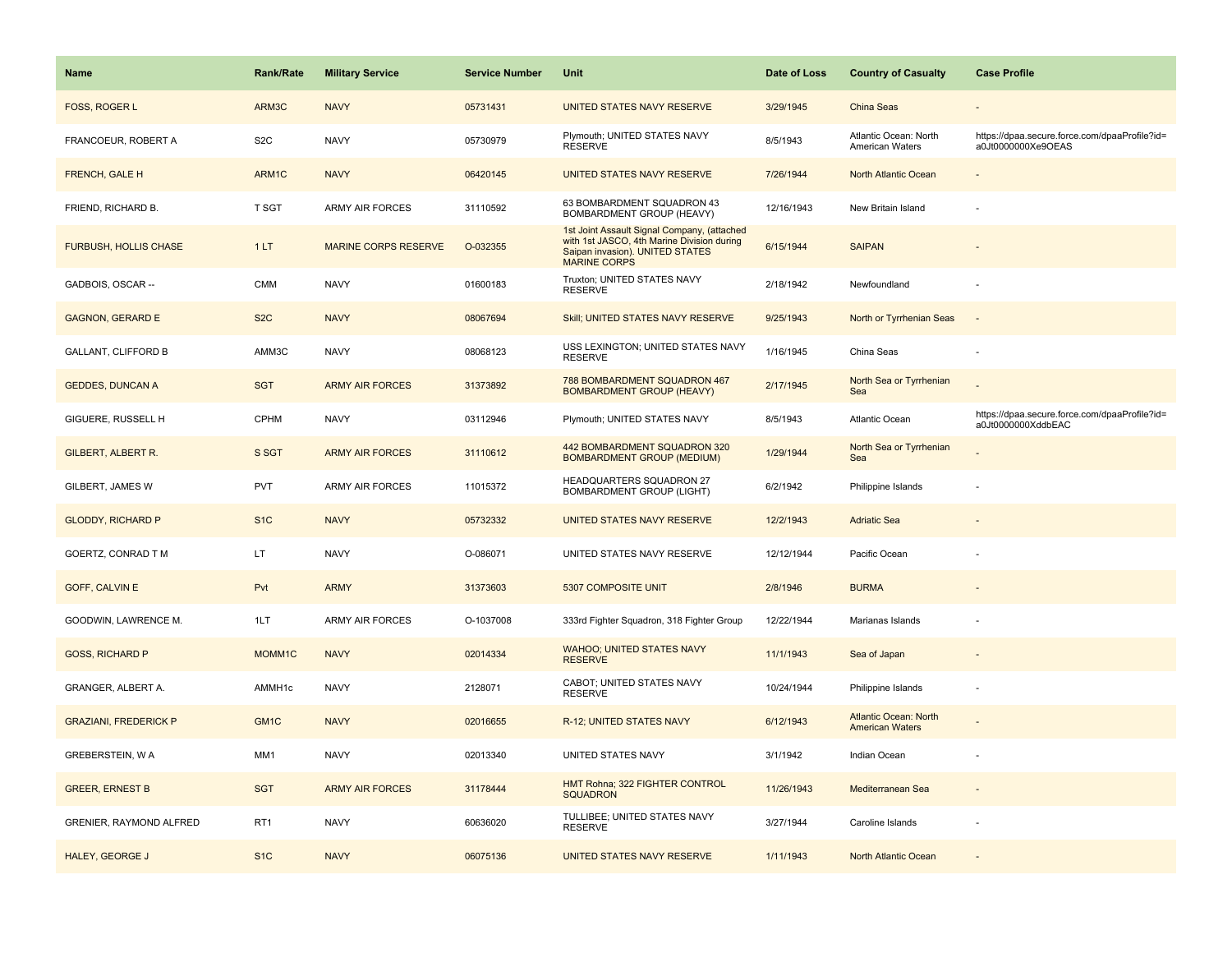| Name                         | <b>Rank/Rate</b>  | <b>Military Service</b>     | <b>Service Number</b> | <b>Unit</b>                                                                                                                                         | Date of Loss | <b>Country of Casualty</b>                             | <b>Case Profile</b>                                                 |
|------------------------------|-------------------|-----------------------------|-----------------------|-----------------------------------------------------------------------------------------------------------------------------------------------------|--------------|--------------------------------------------------------|---------------------------------------------------------------------|
| FOSS, ROGER L                | ARM3C             | <b>NAVY</b>                 | 05731431              | UNITED STATES NAVY RESERVE                                                                                                                          | 3/29/1945    | China Seas                                             |                                                                     |
| FRANCOEUR, ROBERT A          | S <sub>2</sub> C  | <b>NAVY</b>                 | 05730979              | Plymouth; UNITED STATES NAVY<br><b>RESERVE</b>                                                                                                      | 8/5/1943     | Atlantic Ocean: North<br>American Waters               | https://dpaa.secure.force.com/dpaaProfile?id=<br>a0Jt0000000Xe9OEAS |
| FRENCH, GALE H               | ARM1C             | <b>NAVY</b>                 | 06420145              | UNITED STATES NAVY RESERVE                                                                                                                          | 7/26/1944    | North Atlantic Ocean                                   |                                                                     |
| FRIEND, RICHARD B.           | T SGT             | <b>ARMY AIR FORCES</b>      | 31110592              | 63 BOMBARDMENT SQUADRON 43<br>BOMBARDMENT GROUP (HEAVY)                                                                                             | 12/16/1943   | New Britain Island                                     |                                                                     |
| <b>FURBUSH, HOLLIS CHASE</b> | 1LT               | <b>MARINE CORPS RESERVE</b> | O-032355              | 1st Joint Assault Signal Company, (attached<br>with 1st JASCO, 4th Marine Division during<br>Saipan invasion). UNITED STATES<br><b>MARINE CORPS</b> | 6/15/1944    | <b>SAIPAN</b>                                          |                                                                     |
| GADBOIS, OSCAR --            | <b>CMM</b>        | <b>NAVY</b>                 | 01600183              | Truxton; UNITED STATES NAVY<br><b>RESERVE</b>                                                                                                       | 2/18/1942    | Newfoundland                                           |                                                                     |
| <b>GAGNON, GERARD E</b>      | S <sub>2</sub> C  | <b>NAVY</b>                 | 08067694              | Skill; UNITED STATES NAVY RESERVE                                                                                                                   | 9/25/1943    | North or Tyrrhenian Seas                               |                                                                     |
| <b>GALLANT, CLIFFORD B</b>   | AMM3C             | <b>NAVY</b>                 | 08068123              | USS LEXINGTON; UNITED STATES NAVY<br><b>RESERVE</b>                                                                                                 | 1/16/1945    | China Seas                                             |                                                                     |
| <b>GEDDES, DUNCAN A</b>      | <b>SGT</b>        | <b>ARMY AIR FORCES</b>      | 31373892              | 788 BOMBARDMENT SQUADRON 467<br><b>BOMBARDMENT GROUP (HEAVY)</b>                                                                                    | 2/17/1945    | North Sea or Tyrrhenian<br>Sea                         |                                                                     |
| GIGUERE, RUSSELL H           | <b>CPHM</b>       | <b>NAVY</b>                 | 03112946              | Plymouth; UNITED STATES NAVY                                                                                                                        | 8/5/1943     | Atlantic Ocean                                         | https://dpaa.secure.force.com/dpaaProfile?id=<br>a0Jt0000000XddbEAC |
| GILBERT, ALBERT R.           | S SGT             | <b>ARMY AIR FORCES</b>      | 31110612              | 442 BOMBARDMENT SQUADRON 320<br><b>BOMBARDMENT GROUP (MEDIUM)</b>                                                                                   | 1/29/1944    | North Sea or Tyrrhenian<br>Sea                         |                                                                     |
| GILBERT, JAMES W             | PVT               | ARMY AIR FORCES             | 11015372              | HEADQUARTERS SQUADRON 27<br>BOMBARDMENT GROUP (LIGHT)                                                                                               | 6/2/1942     | Philippine Islands                                     |                                                                     |
| <b>GLODDY, RICHARD P</b>     | S <sub>1C</sub>   | <b>NAVY</b>                 | 05732332              | UNITED STATES NAVY RESERVE                                                                                                                          | 12/2/1943    | <b>Adriatic Sea</b>                                    |                                                                     |
| GOERTZ, CONRAD T M           | LT.               | <b>NAVY</b>                 | O-086071              | UNITED STATES NAVY RESERVE                                                                                                                          | 12/12/1944   | Pacific Ocean                                          |                                                                     |
| <b>GOFF, CALVIN E</b>        | Pvt               | <b>ARMY</b>                 | 31373603              | 5307 COMPOSITE UNIT                                                                                                                                 | 2/8/1946     | <b>BURMA</b>                                           |                                                                     |
| GOODWIN, LAWRENCE M.         | 1LT               | <b>ARMY AIR FORCES</b>      | O-1037008             | 333rd Fighter Squadron, 318 Fighter Group                                                                                                           | 12/22/1944   | Marianas Islands                                       |                                                                     |
| <b>GOSS, RICHARD P</b>       | MOMM1C            | <b>NAVY</b>                 | 02014334              | <b>WAHOO; UNITED STATES NAVY</b><br><b>RESERVE</b>                                                                                                  | 11/1/1943    | Sea of Japan                                           |                                                                     |
| GRANGER, ALBERT A.           | AMMH1c            | <b>NAVY</b>                 | 2128071               | CABOT; UNITED STATES NAVY<br><b>RESERVE</b>                                                                                                         | 10/24/1944   | Philippine Islands                                     |                                                                     |
| <b>GRAZIANI, FREDERICK P</b> | GM <sub>1</sub> C | <b>NAVY</b>                 | 02016655              | R-12; UNITED STATES NAVY                                                                                                                            | 6/12/1943    | <b>Atlantic Ocean: North</b><br><b>American Waters</b> |                                                                     |
| GREBERSTEIN, W A             | MM1               | <b>NAVY</b>                 | 02013340              | UNITED STATES NAVY                                                                                                                                  | 3/1/1942     | Indian Ocean                                           |                                                                     |
| <b>GREER, ERNEST B</b>       | <b>SGT</b>        | <b>ARMY AIR FORCES</b>      | 31178444              | HMT Rohna; 322 FIGHTER CONTROL<br><b>SQUADRON</b>                                                                                                   | 11/26/1943   | Mediterranean Sea                                      |                                                                     |
| GRENIER, RAYMOND ALFRED      | RT <sub>1</sub>   | <b>NAVY</b>                 | 60636020              | TULLIBEE; UNITED STATES NAVY<br><b>RESERVE</b>                                                                                                      | 3/27/1944    | Caroline Islands                                       |                                                                     |
| <b>HALEY, GEORGE J</b>       | S <sub>1</sub> C  | <b>NAVY</b>                 | 06075136              | UNITED STATES NAVY RESERVE                                                                                                                          | 1/11/1943    | North Atlantic Ocean                                   |                                                                     |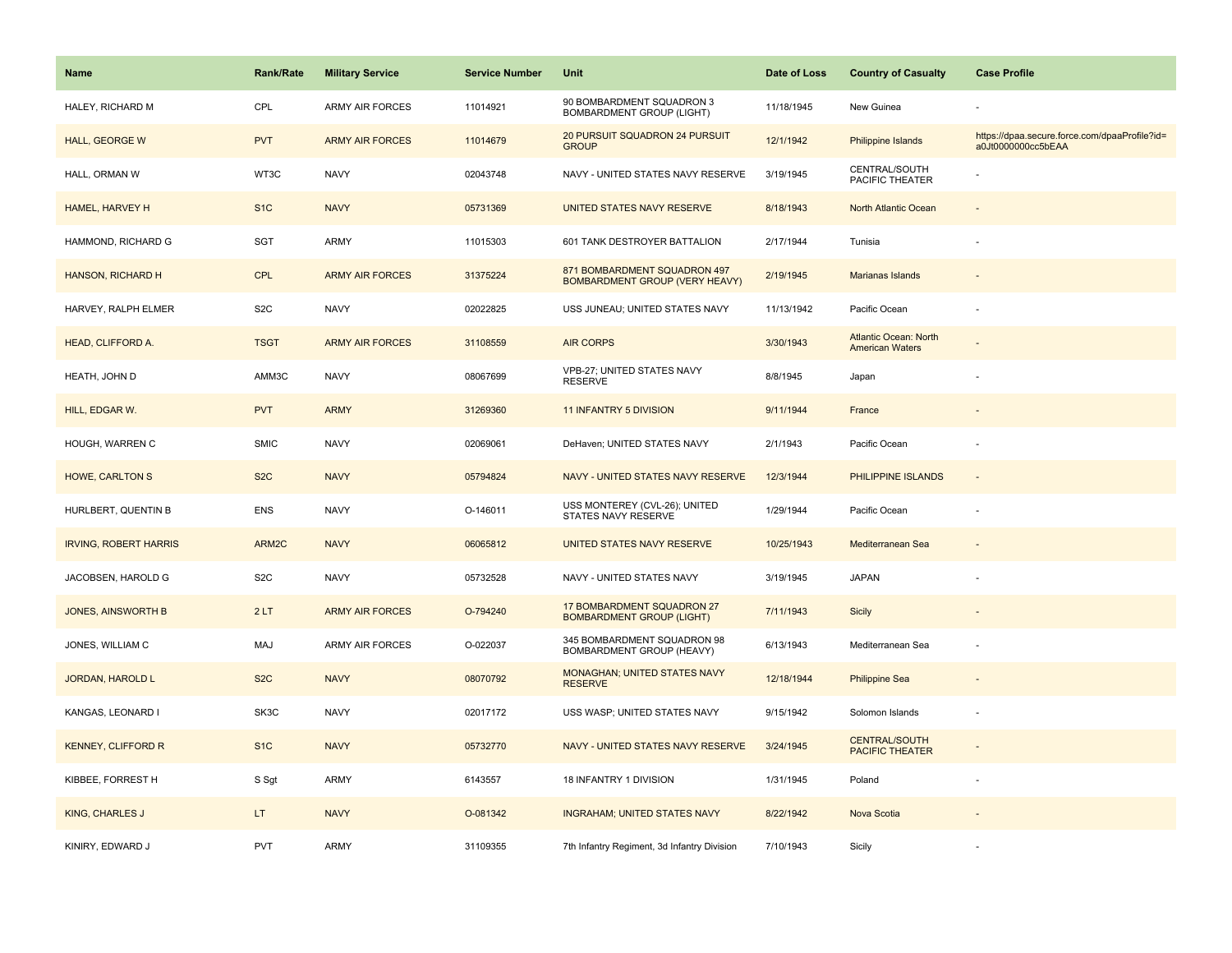| Name                         | <b>Rank/Rate</b> | <b>Military Service</b> | <b>Service Number</b> | Unit                                                                  | Date of Loss | <b>Country of Casualty</b>                             | <b>Case Profile</b>                                                 |
|------------------------------|------------------|-------------------------|-----------------------|-----------------------------------------------------------------------|--------------|--------------------------------------------------------|---------------------------------------------------------------------|
| HALEY, RICHARD M             | CPL              | <b>ARMY AIR FORCES</b>  | 11014921              | 90 BOMBARDMENT SQUADRON 3<br>BOMBARDMENT GROUP (LIGHT)                | 11/18/1945   | New Guinea                                             |                                                                     |
| HALL, GEORGE W               | <b>PVT</b>       | <b>ARMY AIR FORCES</b>  | 11014679              | 20 PURSUIT SQUADRON 24 PURSUIT<br><b>GROUP</b>                        | 12/1/1942    | Philippine Islands                                     | https://dpaa.secure.force.com/dpaaProfile?id=<br>a0Jt0000000cc5bEAA |
| HALL, ORMAN W                | WT3C             | <b>NAVY</b>             | 02043748              | NAVY - UNITED STATES NAVY RESERVE                                     | 3/19/1945    | CENTRAL/SOUTH<br>PACIFIC THEATER                       |                                                                     |
| HAMEL, HARVEY H              | S <sub>1</sub> C | <b>NAVY</b>             | 05731369              | UNITED STATES NAVY RESERVE                                            | 8/18/1943    | North Atlantic Ocean                                   |                                                                     |
| HAMMOND, RICHARD G           | SGT              | ARMY                    | 11015303              | 601 TANK DESTROYER BATTALION                                          | 2/17/1944    | Tunisia                                                |                                                                     |
| HANSON, RICHARD H            | <b>CPL</b>       | <b>ARMY AIR FORCES</b>  | 31375224              | 871 BOMBARDMENT SQUADRON 497<br><b>BOMBARDMENT GROUP (VERY HEAVY)</b> | 2/19/1945    | <b>Marianas Islands</b>                                |                                                                     |
| HARVEY, RALPH ELMER          | S <sub>2</sub> C | <b>NAVY</b>             | 02022825              | USS JUNEAU; UNITED STATES NAVY                                        | 11/13/1942   | Pacific Ocean                                          |                                                                     |
| HEAD, CLIFFORD A.            | <b>TSGT</b>      | <b>ARMY AIR FORCES</b>  | 31108559              | <b>AIR CORPS</b>                                                      | 3/30/1943    | <b>Atlantic Ocean: North</b><br><b>American Waters</b> |                                                                     |
| HEATH, JOHN D                | AMM3C            | <b>NAVY</b>             | 08067699              | VPB-27; UNITED STATES NAVY<br><b>RESERVE</b>                          | 8/8/1945     | Japan                                                  |                                                                     |
| HILL, EDGAR W.               | <b>PVT</b>       | <b>ARMY</b>             | 31269360              | 11 INFANTRY 5 DIVISION                                                | 9/11/1944    | France                                                 |                                                                     |
| HOUGH, WARREN C              | <b>SMIC</b>      | <b>NAVY</b>             | 02069061              | DeHaven; UNITED STATES NAVY                                           | 2/1/1943     | Pacific Ocean                                          |                                                                     |
| <b>HOWE, CARLTON S</b>       | S <sub>2</sub> C | <b>NAVY</b>             | 05794824              | NAVY - UNITED STATES NAVY RESERVE                                     | 12/3/1944    | PHILIPPINE ISLANDS                                     | $\blacksquare$                                                      |
| HURLBERT, QUENTIN B          | <b>ENS</b>       | <b>NAVY</b>             | O-146011              | USS MONTEREY (CVL-26); UNITED<br>STATES NAVY RESERVE                  | 1/29/1944    | Pacific Ocean                                          |                                                                     |
| <b>IRVING, ROBERT HARRIS</b> | ARM2C            | <b>NAVY</b>             | 06065812              | UNITED STATES NAVY RESERVE                                            | 10/25/1943   | Mediterranean Sea                                      |                                                                     |
| JACOBSEN, HAROLD G           | S <sub>2</sub> C | <b>NAVY</b>             | 05732528              | NAVY - UNITED STATES NAVY                                             | 3/19/1945    | <b>JAPAN</b>                                           |                                                                     |
| <b>JONES, AINSWORTH B</b>    | 2LT              | <b>ARMY AIR FORCES</b>  | O-794240              | 17 BOMBARDMENT SQUADRON 27<br><b>BOMBARDMENT GROUP (LIGHT)</b>        | 7/11/1943    | Sicily                                                 |                                                                     |
| JONES, WILLIAM C             | MAJ              | ARMY AIR FORCES         | O-022037              | 345 BOMBARDMENT SQUADRON 98<br>BOMBARDMENT GROUP (HEAVY)              | 6/13/1943    | Mediterranean Sea                                      |                                                                     |
| <b>JORDAN, HAROLD L</b>      | S <sub>2</sub> C | <b>NAVY</b>             | 08070792              | <b>MONAGHAN; UNITED STATES NAVY</b><br><b>RESERVE</b>                 | 12/18/1944   | <b>Philippine Sea</b>                                  |                                                                     |
| KANGAS, LEONARD I            | SK3C             | <b>NAVY</b>             | 02017172              | USS WASP; UNITED STATES NAVY                                          | 9/15/1942    | Solomon Islands                                        | ÷,                                                                  |
| <b>KENNEY, CLIFFORD R</b>    | S <sub>1C</sub>  | <b>NAVY</b>             | 05732770              | NAVY - UNITED STATES NAVY RESERVE                                     | 3/24/1945    | <b>CENTRAL/SOUTH</b><br><b>PACIFIC THEATER</b>         |                                                                     |
| KIBBEE, FORREST H            | S Sgt            | ARMY                    | 6143557               | 18 INFANTRY 1 DIVISION                                                | 1/31/1945    | Poland                                                 | ÷,                                                                  |
| KING, CHARLES J              | LT.              | <b>NAVY</b>             | O-081342              | <b>INGRAHAM; UNITED STATES NAVY</b>                                   | 8/22/1942    | Nova Scotia                                            |                                                                     |
| KINIRY, EDWARD J             | <b>PVT</b>       | ARMY                    | 31109355              | 7th Infantry Regiment, 3d Infantry Division                           | 7/10/1943    | Sicily                                                 |                                                                     |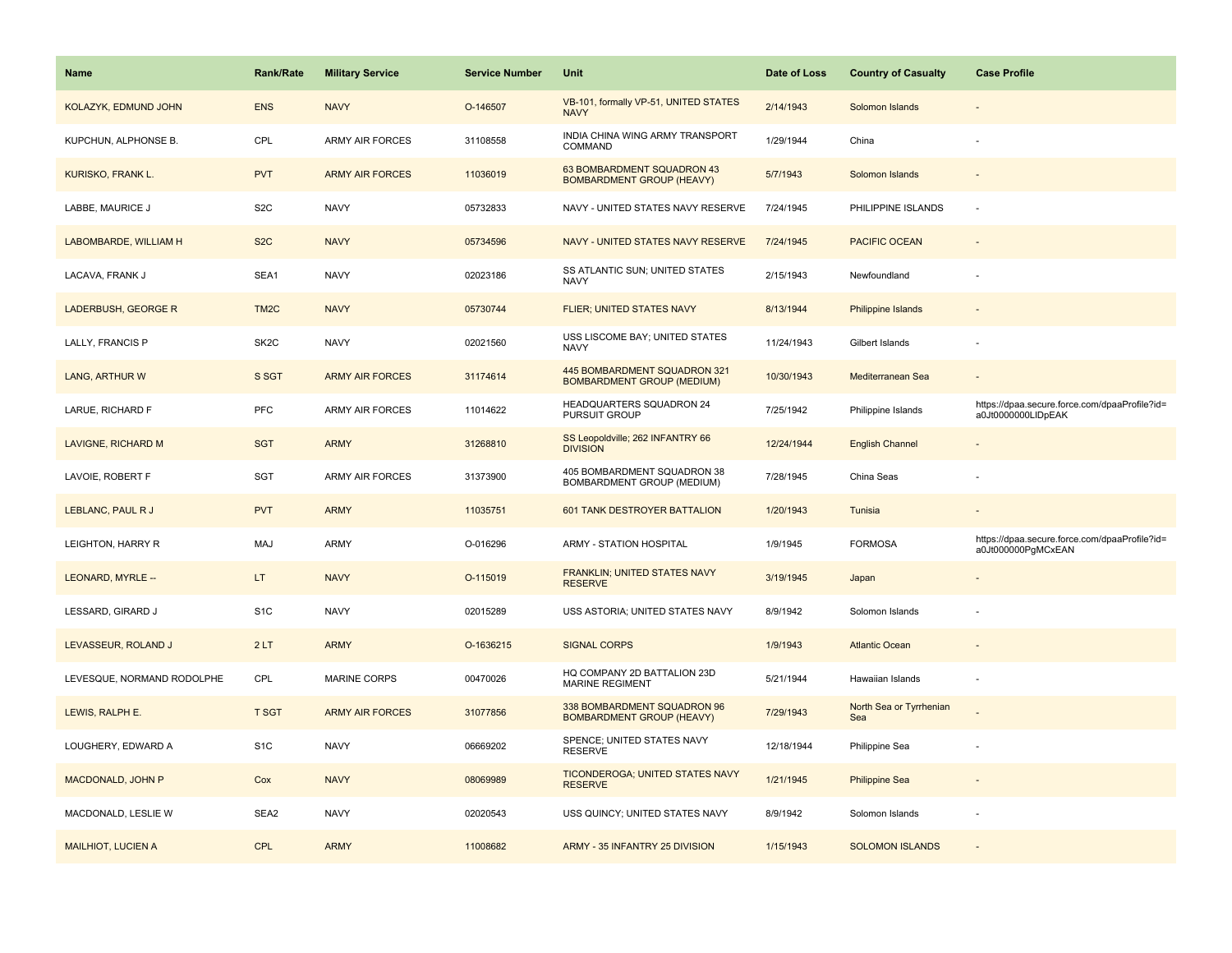| <b>Name</b>                  | <b>Rank/Rate</b>  | <b>Military Service</b> | <b>Service Number</b> | Unit                                                              | Date of Loss | <b>Country of Casualty</b>     | <b>Case Profile</b>                                                 |
|------------------------------|-------------------|-------------------------|-----------------------|-------------------------------------------------------------------|--------------|--------------------------------|---------------------------------------------------------------------|
| KOLAZYK, EDMUND JOHN         | <b>ENS</b>        | <b>NAVY</b>             | O-146507              | VB-101, formally VP-51, UNITED STATES<br><b>NAVY</b>              | 2/14/1943    | Solomon Islands                |                                                                     |
| KUPCHUN, ALPHONSE B.         | CPL               | ARMY AIR FORCES         | 31108558              | INDIA CHINA WING ARMY TRANSPORT<br>COMMAND                        | 1/29/1944    | China                          |                                                                     |
| KURISKO, FRANK L.            | <b>PVT</b>        | <b>ARMY AIR FORCES</b>  | 11036019              | 63 BOMBARDMENT SQUADRON 43<br><b>BOMBARDMENT GROUP (HEAVY)</b>    | 5/7/1943     | Solomon Islands                |                                                                     |
| LABBE, MAURICE J             | S <sub>2</sub> C  | <b>NAVY</b>             | 05732833              | NAVY - UNITED STATES NAVY RESERVE                                 | 7/24/1945    | PHILIPPINE ISLANDS             |                                                                     |
| <b>LABOMBARDE, WILLIAM H</b> | S <sub>2</sub> C  | <b>NAVY</b>             | 05734596              | NAVY - UNITED STATES NAVY RESERVE                                 | 7/24/1945    | <b>PACIFIC OCEAN</b>           |                                                                     |
| LACAVA, FRANK J              | SEA1              | <b>NAVY</b>             | 02023186              | SS ATLANTIC SUN; UNITED STATES<br><b>NAVY</b>                     | 2/15/1943    | Newfoundland                   |                                                                     |
| LADERBUSH, GEORGE R          | TM <sub>2</sub> C | <b>NAVY</b>             | 05730744              | FLIER; UNITED STATES NAVY                                         | 8/13/1944    | Philippine Islands             |                                                                     |
| LALLY, FRANCIS P             | SK <sub>2</sub> C | <b>NAVY</b>             | 02021560              | USS LISCOME BAY; UNITED STATES<br><b>NAVY</b>                     | 11/24/1943   | Gilbert Islands                |                                                                     |
| LANG, ARTHUR W               | S SGT             | <b>ARMY AIR FORCES</b>  | 31174614              | 445 BOMBARDMENT SQUADRON 321<br><b>BOMBARDMENT GROUP (MEDIUM)</b> | 10/30/1943   | Mediterranean Sea              |                                                                     |
| LARUE, RICHARD F             | <b>PFC</b>        | ARMY AIR FORCES         | 11014622              | HEADQUARTERS SQUADRON 24<br>PURSUIT GROUP                         | 7/25/1942    | Philippine Islands             | https://dpaa.secure.force.com/dpaaProfile?id=<br>a0Jt0000000LIDpEAK |
| LAVIGNE, RICHARD M           | <b>SGT</b>        | <b>ARMY</b>             | 31268810              | SS Leopoldville; 262 INFANTRY 66<br><b>DIVISION</b>               | 12/24/1944   | <b>English Channel</b>         |                                                                     |
| LAVOIE, ROBERT F             | <b>SGT</b>        | ARMY AIR FORCES         | 31373900              | 405 BOMBARDMENT SQUADRON 38<br>BOMBARDMENT GROUP (MEDIUM)         | 7/28/1945    | China Seas                     |                                                                     |
| LEBLANC, PAUL R J            | <b>PVT</b>        | <b>ARMY</b>             | 11035751              | 601 TANK DESTROYER BATTALION                                      | 1/20/1943    | Tunisia                        |                                                                     |
| LEIGHTON, HARRY R            | MAJ               | <b>ARMY</b>             | O-016296              | ARMY - STATION HOSPITAL                                           | 1/9/1945     | <b>FORMOSA</b>                 | https://dpaa.secure.force.com/dpaaProfile?id=<br>a0Jt000000PgMCxEAN |
| LEONARD, MYRLE --            | LT.               | <b>NAVY</b>             | O-115019              | <b>FRANKLIN; UNITED STATES NAVY</b><br><b>RESERVE</b>             | 3/19/1945    | Japan                          |                                                                     |
| LESSARD, GIRARD J            | S <sub>1</sub> C  | <b>NAVY</b>             | 02015289              | USS ASTORIA; UNITED STATES NAVY                                   | 8/9/1942     | Solomon Islands                |                                                                     |
| LEVASSEUR, ROLAND J          | 2LT               | <b>ARMY</b>             | O-1636215             | <b>SIGNAL CORPS</b>                                               | 1/9/1943     | <b>Atlantic Ocean</b>          |                                                                     |
| LEVESQUE, NORMAND RODOLPHE   | CPL               | <b>MARINE CORPS</b>     | 00470026              | HQ COMPANY 2D BATTALION 23D<br><b>MARINE REGIMENT</b>             | 5/21/1944    | Hawaiian Islands               |                                                                     |
| LEWIS, RALPH E.              | <b>T SGT</b>      | <b>ARMY AIR FORCES</b>  | 31077856              | 338 BOMBARDMENT SQUADRON 96<br><b>BOMBARDMENT GROUP (HEAVY)</b>   | 7/29/1943    | North Sea or Tyrrhenian<br>Sea |                                                                     |
| LOUGHERY, EDWARD A           | S <sub>1</sub> C  | <b>NAVY</b>             | 06669202              | SPENCE; UNITED STATES NAVY<br><b>RESERVE</b>                      | 12/18/1944   | Philippine Sea                 |                                                                     |
| MACDONALD, JOHN P            | Cox               | <b>NAVY</b>             | 08069989              | TICONDEROGA; UNITED STATES NAVY<br><b>RESERVE</b>                 | 1/21/1945    | <b>Philippine Sea</b>          |                                                                     |
| MACDONALD, LESLIE W          | SEA2              | <b>NAVY</b>             | 02020543              | USS QUINCY; UNITED STATES NAVY                                    | 8/9/1942     | Solomon Islands                |                                                                     |
| <b>MAILHIOT, LUCIEN A</b>    | <b>CPL</b>        | <b>ARMY</b>             | 11008682              | ARMY - 35 INFANTRY 25 DIVISION                                    | 1/15/1943    | <b>SOLOMON ISLANDS</b>         |                                                                     |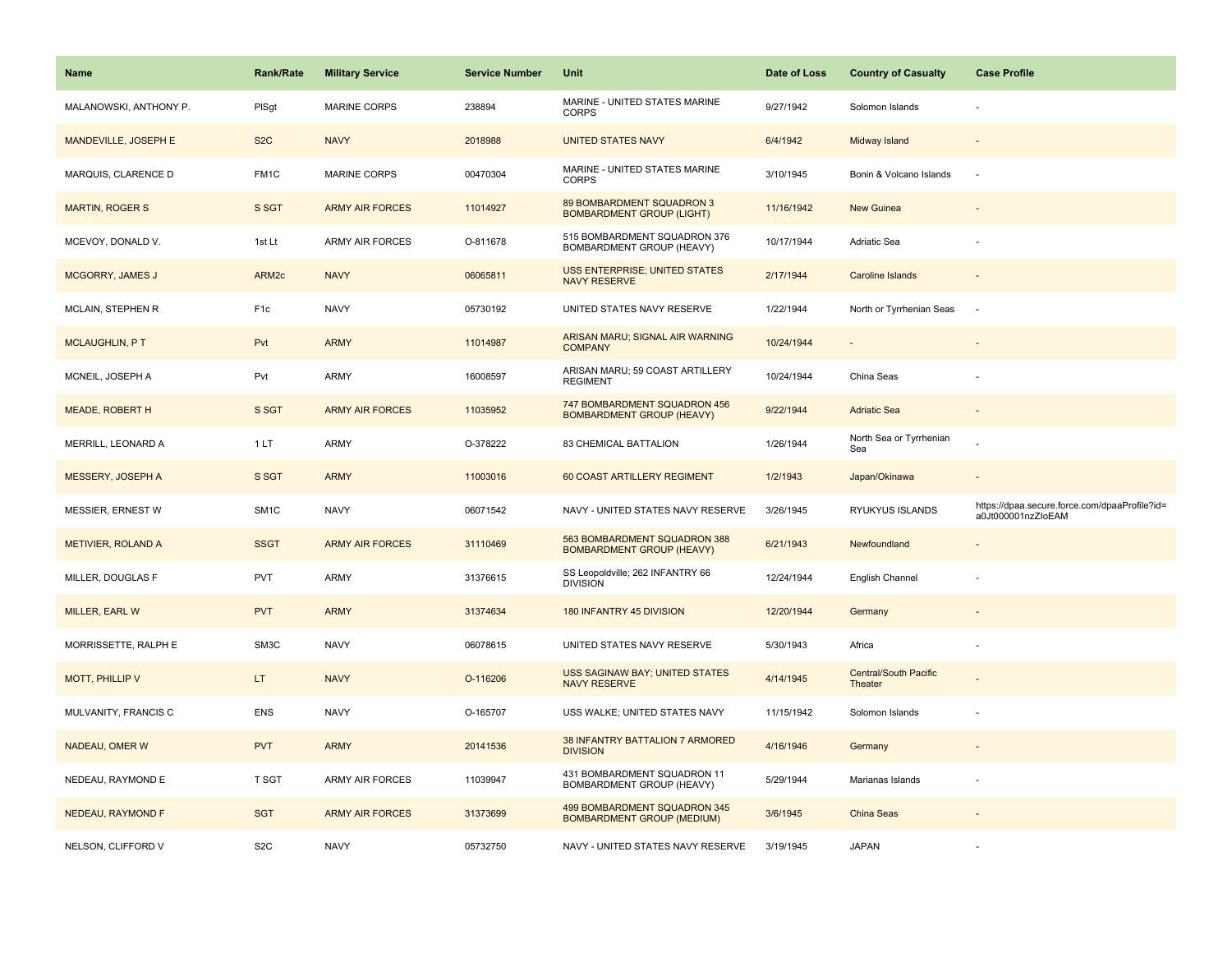| Name                      | <b>Rank/Rate</b>  | <b>Military Service</b> | <b>Service Number</b> | Unit                                                              | Date of Loss | <b>Country of Casualty</b>              | <b>Case Profile</b>                                                 |
|---------------------------|-------------------|-------------------------|-----------------------|-------------------------------------------------------------------|--------------|-----------------------------------------|---------------------------------------------------------------------|
| MALANOWSKI, ANTHONY P.    | PISgt             | <b>MARINE CORPS</b>     | 238894                | MARINE - UNITED STATES MARINE<br><b>CORPS</b>                     | 9/27/1942    | Solomon Islands                         |                                                                     |
| MANDEVILLE, JOSEPH E      | S <sub>2</sub> C  | <b>NAVY</b>             | 2018988               | <b>UNITED STATES NAVY</b>                                         | 6/4/1942     | Midway Island                           |                                                                     |
| MARQUIS, CLARENCE D       | FM1C              | <b>MARINE CORPS</b>     | 00470304              | MARINE - UNITED STATES MARINE<br><b>CORPS</b>                     | 3/10/1945    | Bonin & Volcano Islands                 |                                                                     |
| <b>MARTIN, ROGER S</b>    | S SGT             | <b>ARMY AIR FORCES</b>  | 11014927              | 89 BOMBARDMENT SQUADRON 3<br><b>BOMBARDMENT GROUP (LIGHT)</b>     | 11/16/1942   | <b>New Guinea</b>                       |                                                                     |
| MCEVOY, DONALD V.         | 1st Lt            | <b>ARMY AIR FORCES</b>  | O-811678              | 515 BOMBARDMENT SQUADRON 376<br>BOMBARDMENT GROUP (HEAVY)         | 10/17/1944   | Adriatic Sea                            |                                                                     |
| <b>MCGORRY, JAMES J</b>   | ARM <sub>2c</sub> | <b>NAVY</b>             | 06065811              | <b>USS ENTERPRISE; UNITED STATES</b><br><b>NAVY RESERVE</b>       | 2/17/1944    | Caroline Islands                        |                                                                     |
| MCLAIN, STEPHEN R         | F <sub>1c</sub>   | <b>NAVY</b>             | 05730192              | UNITED STATES NAVY RESERVE                                        | 1/22/1944    | North or Tyrrhenian Seas                | $\sim$                                                              |
| <b>MCLAUGHLIN, PT</b>     | Pvt               | <b>ARMY</b>             | 11014987              | ARISAN MARU; SIGNAL AIR WARNING<br><b>COMPANY</b>                 | 10/24/1944   |                                         |                                                                     |
| MCNEIL, JOSEPH A          | Pvt               | <b>ARMY</b>             | 16008597              | ARISAN MARU; 59 COAST ARTILLERY<br><b>REGIMENT</b>                | 10/24/1944   | China Seas                              |                                                                     |
| <b>MEADE, ROBERT H</b>    | S SGT             | <b>ARMY AIR FORCES</b>  | 11035952              | 747 BOMBARDMENT SQUADRON 456<br><b>BOMBARDMENT GROUP (HEAVY)</b>  | 9/22/1944    | <b>Adriatic Sea</b>                     |                                                                     |
| MERRILL, LEONARD A        | 1LT               | <b>ARMY</b>             | O-378222              | 83 CHEMICAL BATTALION                                             | 1/26/1944    | North Sea or Tyrrhenian<br>Sea          |                                                                     |
| <b>MESSERY, JOSEPH A</b>  | S SGT             | <b>ARMY</b>             | 11003016              | 60 COAST ARTILLERY REGIMENT                                       | 1/2/1943     | Japan/Okinawa                           |                                                                     |
| MESSIER, ERNEST W         | SM <sub>1C</sub>  | <b>NAVY</b>             | 06071542              | NAVY - UNITED STATES NAVY RESERVE                                 | 3/26/1945    | RYUKYUS ISLANDS                         | https://dpaa.secure.force.com/dpaaProfile?id=<br>a0Jt000001nzZloEAM |
| <b>METIVIER, ROLAND A</b> | <b>SSGT</b>       | <b>ARMY AIR FORCES</b>  | 31110469              | 563 BOMBARDMENT SQUADRON 388<br><b>BOMBARDMENT GROUP (HEAVY)</b>  | 6/21/1943    | Newfoundland                            |                                                                     |
| MILLER, DOUGLAS F         | <b>PVT</b>        | ARMY                    | 31376615              | SS Leopoldville; 262 INFANTRY 66<br><b>DIVISION</b>               | 12/24/1944   | English Channel                         |                                                                     |
| MILLER, EARL W            | <b>PVT</b>        | <b>ARMY</b>             | 31374634              | 180 INFANTRY 45 DIVISION                                          | 12/20/1944   | Germany                                 |                                                                     |
| MORRISSETTE, RALPH E      | SM3C              | <b>NAVY</b>             | 06078615              | UNITED STATES NAVY RESERVE                                        | 5/30/1943    | Africa                                  |                                                                     |
| MOTT, PHILLIP V           | LT.               | <b>NAVY</b>             | O-116206              | <b>USS SAGINAW BAY; UNITED STATES</b><br><b>NAVY RESERVE</b>      | 4/14/1945    | <b>Central/South Pacific</b><br>Theater |                                                                     |
| MULVANITY, FRANCIS C      | <b>ENS</b>        | <b>NAVY</b>             | O-165707              | USS WALKE; UNITED STATES NAVY                                     | 11/15/1942   | Solomon Islands                         |                                                                     |
| NADEAU, OMER W            | <b>PVT</b>        | <b>ARMY</b>             | 20141536              | 38 INFANTRY BATTALION 7 ARMORED<br><b>DIVISION</b>                | 4/16/1946    | Germany                                 |                                                                     |
| NEDEAU, RAYMOND E         | T SGT             | <b>ARMY AIR FORCES</b>  | 11039947              | 431 BOMBARDMENT SQUADRON 11<br>BOMBARDMENT GROUP (HEAVY)          | 5/29/1944    | Marianas Islands                        |                                                                     |
| <b>NEDEAU, RAYMOND F</b>  | <b>SGT</b>        | <b>ARMY AIR FORCES</b>  | 31373699              | 499 BOMBARDMENT SQUADRON 345<br><b>BOMBARDMENT GROUP (MEDIUM)</b> | 3/6/1945     | China Seas                              |                                                                     |
| NELSON, CLIFFORD V        | S <sub>2</sub> C  | <b>NAVY</b>             | 05732750              | NAVY - UNITED STATES NAVY RESERVE                                 | 3/19/1945    | <b>JAPAN</b>                            |                                                                     |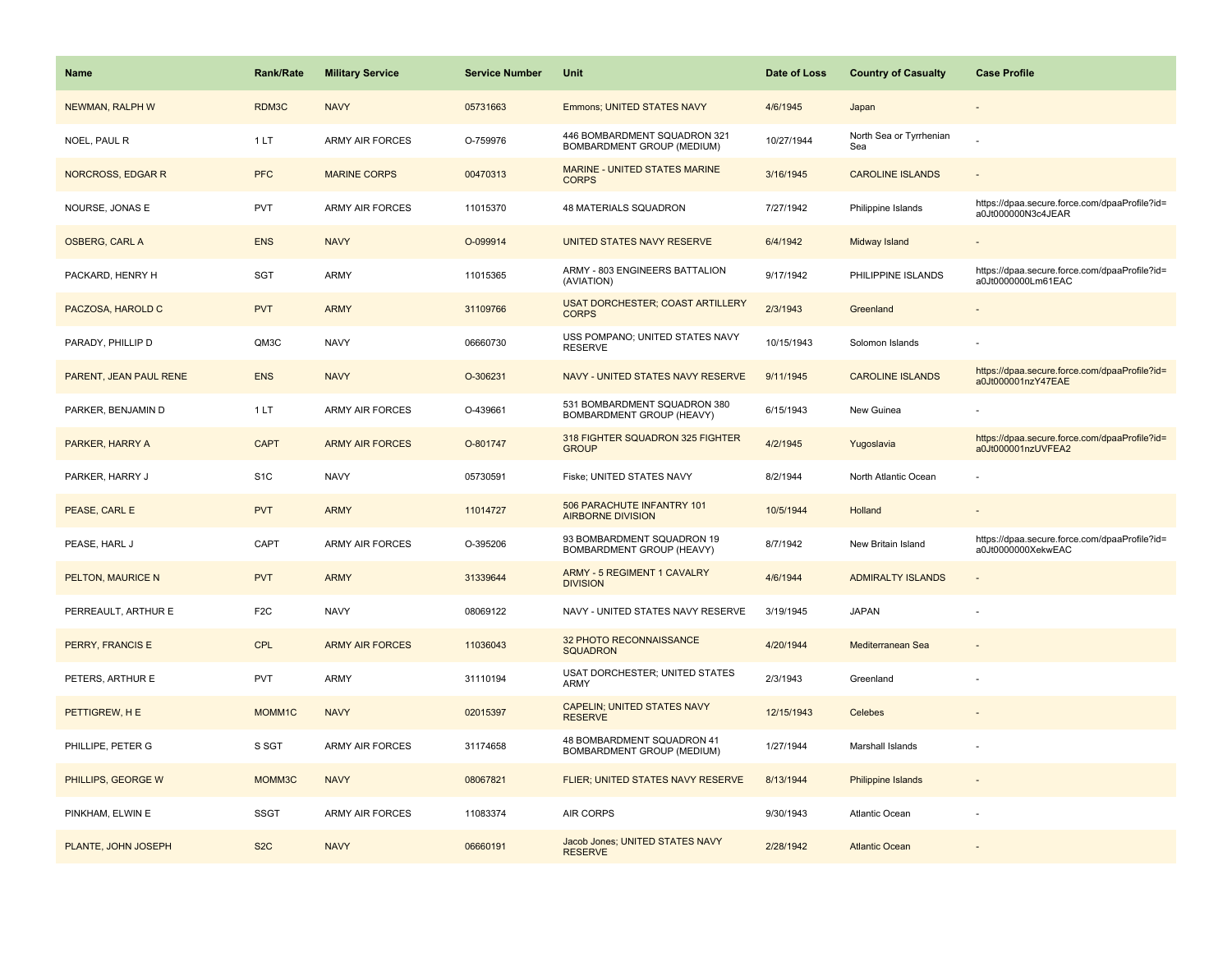| <b>Name</b>            | <b>Rank/Rate</b> | <b>Military Service</b> | <b>Service Number</b> | Unit                                                            | Date of Loss | <b>Country of Casualty</b>     | <b>Case Profile</b>                                                 |
|------------------------|------------------|-------------------------|-----------------------|-----------------------------------------------------------------|--------------|--------------------------------|---------------------------------------------------------------------|
| NEWMAN, RALPH W        | RDM3C            | <b>NAVY</b>             | 05731663              | Emmons; UNITED STATES NAVY                                      | 4/6/1945     | Japan                          |                                                                     |
| NOEL, PAUL R           | 1LT              | <b>ARMY AIR FORCES</b>  | O-759976              | 446 BOMBARDMENT SQUADRON 321<br>BOMBARDMENT GROUP (MEDIUM)      | 10/27/1944   | North Sea or Tyrrhenian<br>Sea |                                                                     |
| NORCROSS, EDGAR R      | <b>PFC</b>       | <b>MARINE CORPS</b>     | 00470313              | <b>MARINE - UNITED STATES MARINE</b><br><b>CORPS</b>            | 3/16/1945    | <b>CAROLINE ISLANDS</b>        |                                                                     |
| NOURSE, JONAS E        | <b>PVT</b>       | <b>ARMY AIR FORCES</b>  | 11015370              | 48 MATERIALS SQUADRON                                           | 7/27/1942    | Philippine Islands             | https://dpaa.secure.force.com/dpaaProfile?id=<br>a0Jt000000N3c4JEAR |
| <b>OSBERG, CARL A</b>  | <b>ENS</b>       | <b>NAVY</b>             | O-099914              | UNITED STATES NAVY RESERVE                                      | 6/4/1942     | Midway Island                  |                                                                     |
| PACKARD, HENRY H       | SGT              | <b>ARMY</b>             | 11015365              | ARMY - 803 ENGINEERS BATTALION<br>(AVIATION)                    | 9/17/1942    | PHILIPPINE ISLANDS             | https://dpaa.secure.force.com/dpaaProfile?id=<br>a0Jt0000000Lm61EAC |
| PACZOSA, HAROLD C      | <b>PVT</b>       | <b>ARMY</b>             | 31109766              | <b>USAT DORCHESTER; COAST ARTILLERY</b><br><b>CORPS</b>         | 2/3/1943     | Greenland                      | $\overline{\phantom{a}}$                                            |
| PARADY, PHILLIP D      | QM3C             | <b>NAVY</b>             | 06660730              | USS POMPANO; UNITED STATES NAVY<br><b>RESERVE</b>               | 10/15/1943   | Solomon Islands                |                                                                     |
| PARENT, JEAN PAUL RENE | <b>ENS</b>       | <b>NAVY</b>             | O-306231              | NAVY - UNITED STATES NAVY RESERVE                               | 9/11/1945    | <b>CAROLINE ISLANDS</b>        | https://dpaa.secure.force.com/dpaaProfile?id=<br>a0Jt000001nzY47EAE |
| PARKER, BENJAMIN D     | 1LT              | <b>ARMY AIR FORCES</b>  | O-439661              | 531 BOMBARDMENT SQUADRON 380<br>BOMBARDMENT GROUP (HEAVY)       | 6/15/1943    | New Guinea                     |                                                                     |
| PARKER, HARRY A        | <b>CAPT</b>      | <b>ARMY AIR FORCES</b>  | O-801747              | 318 FIGHTER SQUADRON 325 FIGHTER<br><b>GROUP</b>                | 4/2/1945     | Yugoslavia                     | https://dpaa.secure.force.com/dpaaProfile?id=<br>a0Jt000001nzUVFEA2 |
| PARKER, HARRY J        | S <sub>1</sub> C | <b>NAVY</b>             | 05730591              | Fiske; UNITED STATES NAVY                                       | 8/2/1944     | North Atlantic Ocean           |                                                                     |
| PEASE, CARL E          | <b>PVT</b>       | <b>ARMY</b>             | 11014727              | 506 PARACHUTE INFANTRY 101<br><b>AIRBORNE DIVISION</b>          | 10/5/1944    | Holland                        |                                                                     |
| PEASE, HARL J          | CAPT             | <b>ARMY AIR FORCES</b>  | O-395206              | 93 BOMBARDMENT SQUADRON 19<br>BOMBARDMENT GROUP (HEAVY)         | 8/7/1942     | New Britain Island             | https://dpaa.secure.force.com/dpaaProfile?id=<br>a0Jt0000000XekwEAC |
| PELTON, MAURICE N      | <b>PVT</b>       | <b>ARMY</b>             | 31339644              | <b>ARMY - 5 REGIMENT 1 CAVALRY</b><br><b>DIVISION</b>           | 4/6/1944     | <b>ADMIRALTY ISLANDS</b>       | $\blacksquare$                                                      |
| PERREAULT, ARTHUR E    | F <sub>2</sub> C | <b>NAVY</b>             | 08069122              | NAVY - UNITED STATES NAVY RESERVE                               | 3/19/1945    | <b>JAPAN</b>                   |                                                                     |
| PERRY, FRANCIS E       | <b>CPL</b>       | <b>ARMY AIR FORCES</b>  | 11036043              | 32 PHOTO RECONNAISSANCE<br><b>SQUADRON</b>                      | 4/20/1944    | Mediterranean Sea              |                                                                     |
| PETERS, ARTHUR E       | <b>PVT</b>       | ARMY                    | 31110194              | USAT DORCHESTER; UNITED STATES<br>ARMY                          | 2/3/1943     | Greenland                      |                                                                     |
| PETTIGREW, H E         | MOMM1C           | <b>NAVY</b>             | 02015397              | <b>CAPELIN; UNITED STATES NAVY</b><br><b>RESERVE</b>            | 12/15/1943   | Celebes                        |                                                                     |
| PHILLIPE, PETER G      | S SGT            | <b>ARMY AIR FORCES</b>  | 31174658              | 48 BOMBARDMENT SQUADRON 41<br><b>BOMBARDMENT GROUP (MEDIUM)</b> | 1/27/1944    | Marshall Islands               |                                                                     |
| PHILLIPS, GEORGE W     | MOMM3C           | <b>NAVY</b>             | 08067821              | FLIER; UNITED STATES NAVY RESERVE                               | 8/13/1944    | <b>Philippine Islands</b>      |                                                                     |
| PINKHAM, ELWIN E       | <b>SSGT</b>      | <b>ARMY AIR FORCES</b>  | 11083374              | AIR CORPS                                                       | 9/30/1943    | <b>Atlantic Ocean</b>          |                                                                     |
| PLANTE, JOHN JOSEPH    | S <sub>2</sub> C | <b>NAVY</b>             | 06660191              | Jacob Jones; UNITED STATES NAVY<br><b>RESERVE</b>               | 2/28/1942    | <b>Atlantic Ocean</b>          |                                                                     |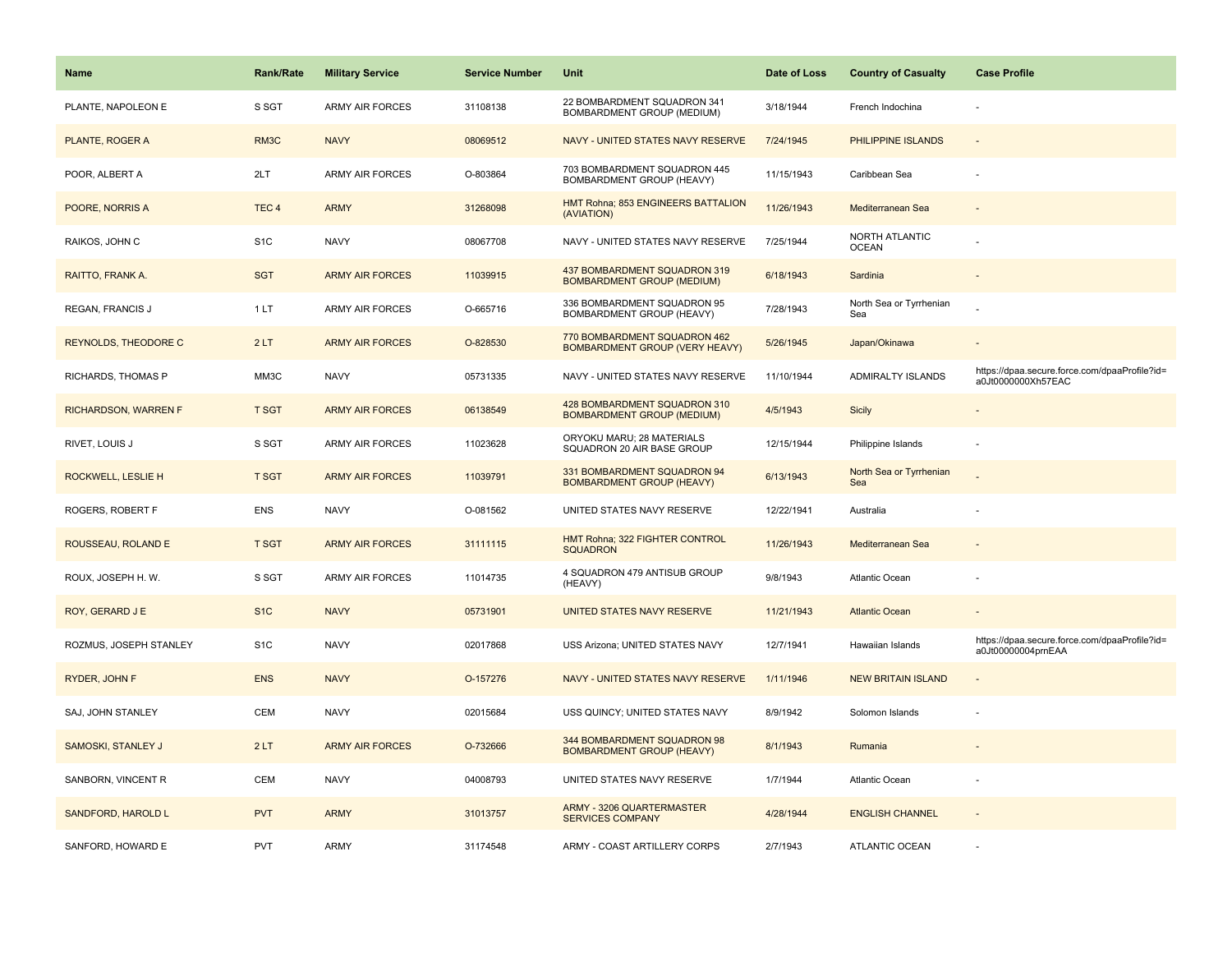| <b>Name</b>                 | <b>Rank/Rate</b> | <b>Military Service</b> | <b>Service Number</b> | Unit                                                              | Date of Loss | <b>Country of Casualty</b>            | <b>Case Profile</b>                                                 |
|-----------------------------|------------------|-------------------------|-----------------------|-------------------------------------------------------------------|--------------|---------------------------------------|---------------------------------------------------------------------|
| PLANTE, NAPOLEON E          | S SGT            | <b>ARMY AIR FORCES</b>  | 31108138              | 22 BOMBARDMENT SQUADRON 341<br>BOMBARDMENT GROUP (MEDIUM)         | 3/18/1944    | French Indochina                      |                                                                     |
| PLANTE, ROGER A             | RM3C             | <b>NAVY</b>             | 08069512              | NAVY - UNITED STATES NAVY RESERVE                                 | 7/24/1945    | PHILIPPINE ISLANDS                    | $\sim$                                                              |
| POOR, ALBERT A              | 2LT              | <b>ARMY AIR FORCES</b>  | O-803864              | 703 BOMBARDMENT SQUADRON 445<br>BOMBARDMENT GROUP (HEAVY)         | 11/15/1943   | Caribbean Sea                         |                                                                     |
| POORE, NORRIS A             | TEC <sub>4</sub> | <b>ARMY</b>             | 31268098              | HMT Rohna; 853 ENGINEERS BATTALION<br>(AVIATION)                  | 11/26/1943   | Mediterranean Sea                     |                                                                     |
| RAIKOS, JOHN C              | S <sub>1</sub> C | <b>NAVY</b>             | 08067708              | NAVY - UNITED STATES NAVY RESERVE                                 | 7/25/1944    | <b>NORTH ATLANTIC</b><br><b>OCEAN</b> |                                                                     |
| RAITTO, FRANK A.            | <b>SGT</b>       | <b>ARMY AIR FORCES</b>  | 11039915              | 437 BOMBARDMENT SQUADRON 319<br><b>BOMBARDMENT GROUP (MEDIUM)</b> | 6/18/1943    | Sardinia                              |                                                                     |
| REGAN, FRANCIS J            | 1LT              | ARMY AIR FORCES         | O-665716              | 336 BOMBARDMENT SQUADRON 95<br>BOMBARDMENT GROUP (HEAVY)          | 7/28/1943    | North Sea or Tyrrhenian<br>Sea        |                                                                     |
| <b>REYNOLDS, THEODORE C</b> | 2LT              | <b>ARMY AIR FORCES</b>  | O-828530              | 770 BOMBARDMENT SQUADRON 462<br>BOMBARDMENT GROUP (VERY HEAVY)    | 5/26/1945    | Japan/Okinawa                         |                                                                     |
| RICHARDS, THOMAS P          | MM3C             | <b>NAVY</b>             | 05731335              | NAVY - UNITED STATES NAVY RESERVE                                 | 11/10/1944   | ADMIRALTY ISLANDS                     | https://dpaa.secure.force.com/dpaaProfile?id=<br>a0Jt0000000Xh57EAC |
| <b>RICHARDSON, WARREN F</b> | <b>T SGT</b>     | <b>ARMY AIR FORCES</b>  | 06138549              | 428 BOMBARDMENT SQUADRON 310<br><b>BOMBARDMENT GROUP (MEDIUM)</b> | 4/5/1943     | <b>Sicily</b>                         |                                                                     |
| RIVET, LOUIS J              | S SGT            | <b>ARMY AIR FORCES</b>  | 11023628              | ORYOKU MARU; 28 MATERIALS<br>SQUADRON 20 AIR BASE GROUP           | 12/15/1944   | Philippine Islands                    |                                                                     |
| ROCKWELL, LESLIE H          | <b>T SGT</b>     | <b>ARMY AIR FORCES</b>  | 11039791              | 331 BOMBARDMENT SQUADRON 94<br><b>BOMBARDMENT GROUP (HEAVY)</b>   | 6/13/1943    | North Sea or Tyrrhenian<br>Sea        |                                                                     |
| ROGERS, ROBERT F            | <b>ENS</b>       | <b>NAVY</b>             | O-081562              | UNITED STATES NAVY RESERVE                                        | 12/22/1941   | Australia                             |                                                                     |
| ROUSSEAU, ROLAND E          | <b>T SGT</b>     | <b>ARMY AIR FORCES</b>  | 31111115              | HMT Rohna; 322 FIGHTER CONTROL<br><b>SQUADRON</b>                 | 11/26/1943   | Mediterranean Sea                     |                                                                     |
| ROUX, JOSEPH H. W.          | S SGT            | <b>ARMY AIR FORCES</b>  | 11014735              | 4 SQUADRON 479 ANTISUB GROUP<br>(HEAVY)                           | 9/8/1943     | <b>Atlantic Ocean</b>                 |                                                                     |
| ROY, GERARD J E             | S <sub>1</sub> C | <b>NAVY</b>             | 05731901              | UNITED STATES NAVY RESERVE                                        | 11/21/1943   | <b>Atlantic Ocean</b>                 |                                                                     |
| ROZMUS, JOSEPH STANLEY      | S <sub>1</sub> C | <b>NAVY</b>             | 02017868              | USS Arizona; UNITED STATES NAVY                                   | 12/7/1941    | Hawaiian Islands                      | https://dpaa.secure.force.com/dpaaProfile?id=<br>a0Jt00000004prnEAA |
| RYDER, JOHN F               | <b>ENS</b>       | <b>NAVY</b>             | O-157276              | NAVY - UNITED STATES NAVY RESERVE                                 | 1/11/1946    | <b>NEW BRITAIN ISLAND</b>             |                                                                     |
| SAJ, JOHN STANLEY           | <b>CEM</b>       | <b>NAVY</b>             | 02015684              | USS QUINCY; UNITED STATES NAVY                                    | 8/9/1942     | Solomon Islands                       |                                                                     |
| SAMOSKI, STANLEY J          | 2LT              | <b>ARMY AIR FORCES</b>  | O-732666              | 344 BOMBARDMENT SQUADRON 98<br><b>BOMBARDMENT GROUP (HEAVY)</b>   | 8/1/1943     | Rumania                               |                                                                     |
| SANBORN, VINCENT R          | CEM              | <b>NAVY</b>             | 04008793              | UNITED STATES NAVY RESERVE                                        | 1/7/1944     | <b>Atlantic Ocean</b>                 |                                                                     |
| SANDFORD, HAROLD L          | <b>PVT</b>       | <b>ARMY</b>             | 31013757              | ARMY - 3206 QUARTERMASTER<br><b>SERVICES COMPANY</b>              | 4/28/1944    | <b>ENGLISH CHANNEL</b>                |                                                                     |
| SANFORD, HOWARD E           | <b>PVT</b>       | ARMY                    | 31174548              | ARMY - COAST ARTILLERY CORPS                                      | 2/7/1943     | <b>ATLANTIC OCEAN</b>                 |                                                                     |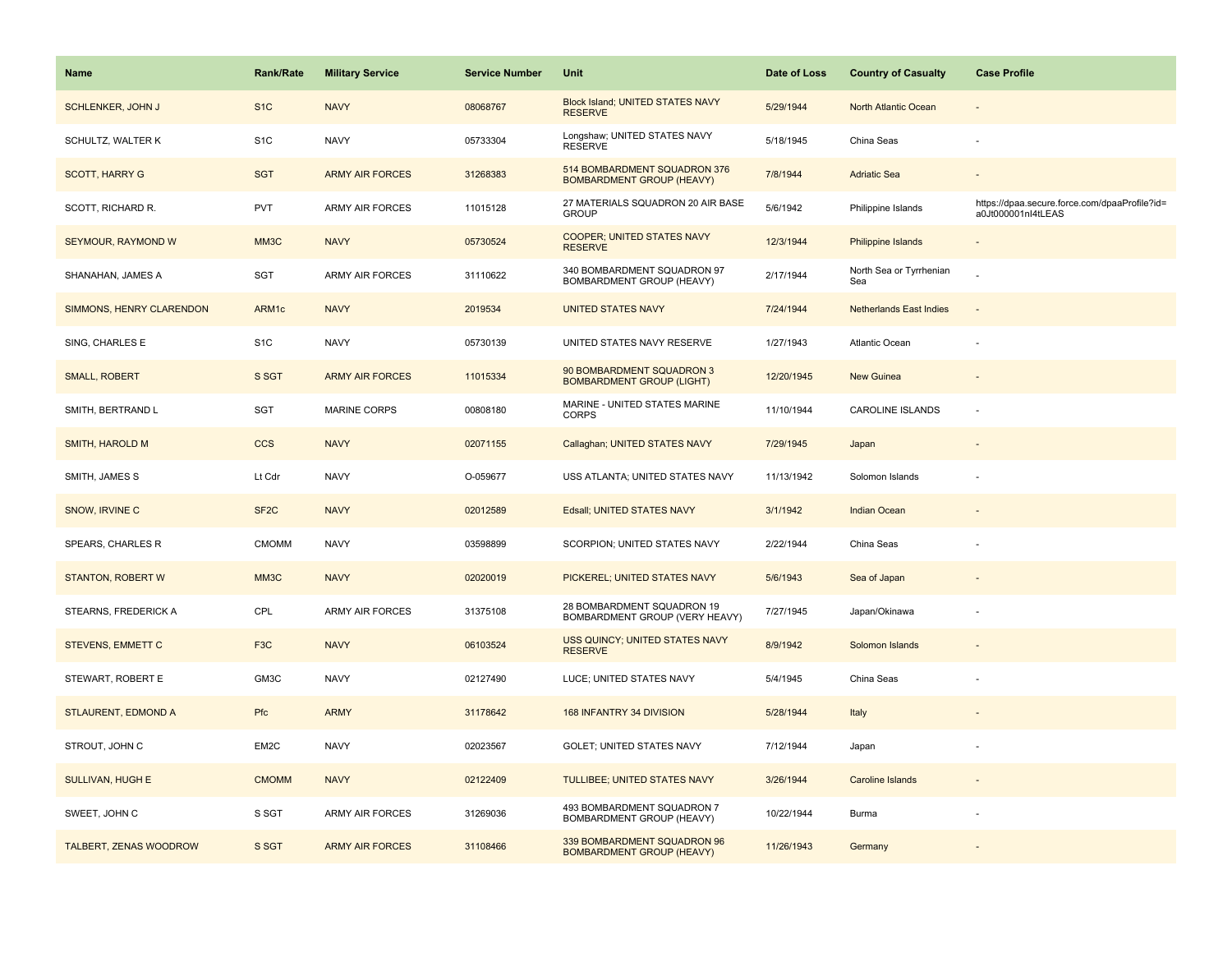| <b>Name</b>              | <b>Rank/Rate</b>  | <b>Military Service</b> | <b>Service Number</b> | Unit                                                             | Date of Loss | <b>Country of Casualty</b>     | <b>Case Profile</b>                                                 |
|--------------------------|-------------------|-------------------------|-----------------------|------------------------------------------------------------------|--------------|--------------------------------|---------------------------------------------------------------------|
| <b>SCHLENKER, JOHN J</b> | S <sub>1</sub> C  | <b>NAVY</b>             | 08068767              | Block Island; UNITED STATES NAVY<br><b>RESERVE</b>               | 5/29/1944    | North Atlantic Ocean           |                                                                     |
| SCHULTZ, WALTER K        | S <sub>1</sub> C  | <b>NAVY</b>             | 05733304              | Longshaw; UNITED STATES NAVY<br><b>RESERVE</b>                   | 5/18/1945    | China Seas                     |                                                                     |
| <b>SCOTT, HARRY G</b>    | <b>SGT</b>        | <b>ARMY AIR FORCES</b>  | 31268383              | 514 BOMBARDMENT SQUADRON 376<br><b>BOMBARDMENT GROUP (HEAVY)</b> | 7/8/1944     | <b>Adriatic Sea</b>            |                                                                     |
| SCOTT, RICHARD R.        | <b>PVT</b>        | <b>ARMY AIR FORCES</b>  | 11015128              | 27 MATERIALS SQUADRON 20 AIR BASE<br><b>GROUP</b>                | 5/6/1942     | Philippine Islands             | https://dpaa.secure.force.com/dpaaProfile?id=<br>a0Jt000001nl4tLEAS |
| SEYMOUR, RAYMOND W       | MM3C              | <b>NAVY</b>             | 05730524              | <b>COOPER; UNITED STATES NAVY</b><br><b>RESERVE</b>              | 12/3/1944    | <b>Philippine Islands</b>      |                                                                     |
| SHANAHAN, JAMES A        | SGT               | <b>ARMY AIR FORCES</b>  | 31110622              | 340 BOMBARDMENT SQUADRON 97<br>BOMBARDMENT GROUP (HEAVY)         | 2/17/1944    | North Sea or Tyrrhenian<br>Sea |                                                                     |
| SIMMONS, HENRY CLARENDON | ARM1c             | <b>NAVY</b>             | 2019534               | <b>UNITED STATES NAVY</b>                                        | 7/24/1944    | <b>Netherlands East Indies</b> | ÷,                                                                  |
| SING, CHARLES E          | S <sub>1</sub> C  | <b>NAVY</b>             | 05730139              | UNITED STATES NAVY RESERVE                                       | 1/27/1943    | Atlantic Ocean                 |                                                                     |
| <b>SMALL, ROBERT</b>     | S SGT             | <b>ARMY AIR FORCES</b>  | 11015334              | 90 BOMBARDMENT SQUADRON 3<br><b>BOMBARDMENT GROUP (LIGHT)</b>    | 12/20/1945   | <b>New Guinea</b>              |                                                                     |
| SMITH, BERTRAND L        | <b>SGT</b>        | MARINE CORPS            | 00808180              | MARINE - UNITED STATES MARINE<br><b>CORPS</b>                    | 11/10/1944   | <b>CAROLINE ISLANDS</b>        | ÷,                                                                  |
| <b>SMITH, HAROLD M</b>   | <b>CCS</b>        | <b>NAVY</b>             | 02071155              | Callaghan; UNITED STATES NAVY                                    | 7/29/1945    | Japan                          |                                                                     |
| SMITH, JAMES S           | Lt Cdr            | <b>NAVY</b>             | O-059677              | USS ATLANTA; UNITED STATES NAVY                                  | 11/13/1942   | Solomon Islands                |                                                                     |
| SNOW, IRVINE C           | SF <sub>2</sub> C | <b>NAVY</b>             | 02012589              | Edsall; UNITED STATES NAVY                                       | 3/1/1942     | <b>Indian Ocean</b>            |                                                                     |
| SPEARS, CHARLES R        | <b>CMOMM</b>      | <b>NAVY</b>             | 03598899              | SCORPION; UNITED STATES NAVY                                     | 2/22/1944    | China Seas                     |                                                                     |
| <b>STANTON, ROBERT W</b> | MM3C              | <b>NAVY</b>             | 02020019              | PICKEREL; UNITED STATES NAVY                                     | 5/6/1943     | Sea of Japan                   |                                                                     |
| STEARNS, FREDERICK A     | CPL               | ARMY AIR FORCES         | 31375108              | 28 BOMBARDMENT SQUADRON 19<br>BOMBARDMENT GROUP (VERY HEAVY)     | 7/27/1945    | Japan/Okinawa                  | $\sim$                                                              |
| <b>STEVENS, EMMETT C</b> | F <sub>3</sub> C  | <b>NAVY</b>             | 06103524              | <b>USS QUINCY: UNITED STATES NAVY</b><br><b>RESERVE</b>          | 8/9/1942     | Solomon Islands                |                                                                     |
| STEWART, ROBERT E        | GM3C              | <b>NAVY</b>             | 02127490              | LUCE; UNITED STATES NAVY                                         | 5/4/1945     | China Seas                     |                                                                     |
| STLAURENT, EDMOND A      | Pfc               | <b>ARMY</b>             | 31178642              | 168 INFANTRY 34 DIVISION                                         | 5/28/1944    | Italy                          |                                                                     |
| STROUT, JOHN C           | EM2C              | <b>NAVY</b>             | 02023567              | GOLET; UNITED STATES NAVY                                        | 7/12/1944    | Japan                          |                                                                     |
| <b>SULLIVAN, HUGH E</b>  | <b>CMOMM</b>      | <b>NAVY</b>             | 02122409              | TULLIBEE; UNITED STATES NAVY                                     | 3/26/1944    | <b>Caroline Islands</b>        |                                                                     |
| SWEET, JOHN C            | S SGT             | <b>ARMY AIR FORCES</b>  | 31269036              | 493 BOMBARDMENT SQUADRON 7<br>BOMBARDMENT GROUP (HEAVY)          | 10/22/1944   | Burma                          |                                                                     |
| TALBERT, ZENAS WOODROW   | S SGT             | <b>ARMY AIR FORCES</b>  | 31108466              | 339 BOMBARDMENT SQUADRON 96<br><b>BOMBARDMENT GROUP (HEAVY)</b>  | 11/26/1943   | Germany                        |                                                                     |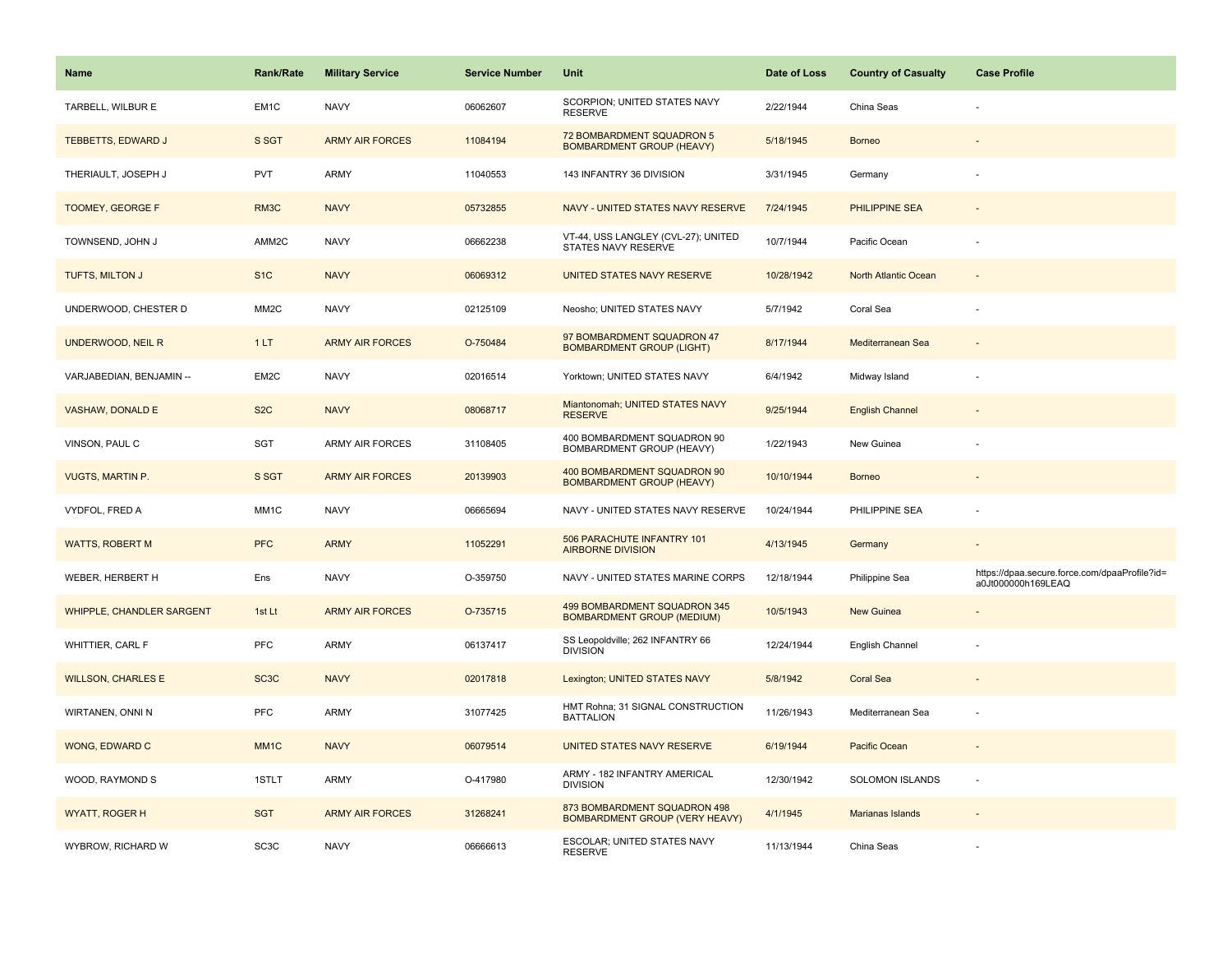| Name                             | <b>Rank/Rate</b>  | <b>Military Service</b> | <b>Service Number</b> | Unit                                                              | Date of Loss | <b>Country of Casualty</b> | <b>Case Profile</b>                                                 |
|----------------------------------|-------------------|-------------------------|-----------------------|-------------------------------------------------------------------|--------------|----------------------------|---------------------------------------------------------------------|
| TARBELL, WILBUR E                | EM <sub>1</sub> C | <b>NAVY</b>             | 06062607              | SCORPION; UNITED STATES NAVY<br><b>RESERVE</b>                    | 2/22/1944    | China Seas                 |                                                                     |
| <b>TEBBETTS, EDWARD J</b>        | S SGT             | <b>ARMY AIR FORCES</b>  | 11084194              | 72 BOMBARDMENT SQUADRON 5<br><b>BOMBARDMENT GROUP (HEAVY)</b>     | 5/18/1945    | <b>Borneo</b>              |                                                                     |
| THERIAULT, JOSEPH J              | <b>PVT</b>        | <b>ARMY</b>             | 11040553              | 143 INFANTRY 36 DIVISION                                          | 3/31/1945    | Germany                    |                                                                     |
| TOOMEY, GEORGE F                 | RM3C              | <b>NAVY</b>             | 05732855              | NAVY - UNITED STATES NAVY RESERVE                                 | 7/24/1945    | <b>PHILIPPINE SEA</b>      |                                                                     |
| TOWNSEND, JOHN J                 | AMM2C             | <b>NAVY</b>             | 06662238              | VT-44, USS LANGLEY (CVL-27); UNITED<br>STATES NAVY RESERVE        | 10/7/1944    | Pacific Ocean              |                                                                     |
| TUFTS, MILTON J                  | S <sub>1</sub> C  | <b>NAVY</b>             | 06069312              | UNITED STATES NAVY RESERVE                                        | 10/28/1942   | North Atlantic Ocean       |                                                                     |
| UNDERWOOD, CHESTER D             | MM <sub>2</sub> C | <b>NAVY</b>             | 02125109              | Neosho; UNITED STATES NAVY                                        | 5/7/1942     | Coral Sea                  |                                                                     |
| UNDERWOOD, NEIL R                | 1LT               | <b>ARMY AIR FORCES</b>  | O-750484              | 97 BOMBARDMENT SQUADRON 47<br><b>BOMBARDMENT GROUP (LIGHT)</b>    | 8/17/1944    | Mediterranean Sea          |                                                                     |
| VARJABEDIAN, BENJAMIN --         | EM2C              | <b>NAVY</b>             | 02016514              | Yorktown; UNITED STATES NAVY                                      | 6/4/1942     | Midway Island              |                                                                     |
| <b>VASHAW, DONALD E</b>          | S <sub>2</sub> C  | <b>NAVY</b>             | 08068717              | Miantonomah; UNITED STATES NAVY<br><b>RESERVE</b>                 | 9/25/1944    | <b>English Channel</b>     |                                                                     |
| VINSON, PAUL C                   | SGT               | ARMY AIR FORCES         | 31108405              | 400 BOMBARDMENT SQUADRON 90<br>BOMBARDMENT GROUP (HEAVY)          | 1/22/1943    | New Guinea                 |                                                                     |
| <b>VUGTS, MARTIN P.</b>          | S SGT             | <b>ARMY AIR FORCES</b>  | 20139903              | 400 BOMBARDMENT SQUADRON 90<br><b>BOMBARDMENT GROUP (HEAVY)</b>   | 10/10/1944   | <b>Borneo</b>              |                                                                     |
| VYDFOL, FRED A                   | MM <sub>1</sub> C | <b>NAVY</b>             | 06665694              | NAVY - UNITED STATES NAVY RESERVE                                 | 10/24/1944   | PHILIPPINE SEA             |                                                                     |
| <b>WATTS, ROBERT M</b>           | <b>PFC</b>        | <b>ARMY</b>             | 11052291              | 506 PARACHUTE INFANTRY 101<br><b>AIRBORNE DIVISION</b>            | 4/13/1945    | Germany                    | $\sim$                                                              |
| WEBER, HERBERT H                 | Ens               | <b>NAVY</b>             | O-359750              | NAVY - UNITED STATES MARINE CORPS                                 | 12/18/1944   | Philippine Sea             | https://dpaa.secure.force.com/dpaaProfile?id=<br>a0Jt000000h169LEAQ |
| <b>WHIPPLE, CHANDLER SARGENT</b> | 1st Lt            | <b>ARMY AIR FORCES</b>  | O-735715              | 499 BOMBARDMENT SQUADRON 345<br><b>BOMBARDMENT GROUP (MEDIUM)</b> | 10/5/1943    | <b>New Guinea</b>          |                                                                     |
| WHITTIER, CARL F                 | <b>PFC</b>        | ARMY                    | 06137417              | SS Leopoldville; 262 INFANTRY 66<br><b>DIVISION</b>               | 12/24/1944   | English Channel            |                                                                     |
| <b>WILLSON, CHARLES E</b>        | SC <sub>3</sub> C | <b>NAVY</b>             | 02017818              | Lexington; UNITED STATES NAVY                                     | 5/8/1942     | <b>Coral Sea</b>           |                                                                     |
| WIRTANEN, ONNI N                 | <b>PFC</b>        | ARMY                    | 31077425              | HMT Rohna; 31 SIGNAL CONSTRUCTION<br><b>BATTALION</b>             | 11/26/1943   | Mediterranean Sea          |                                                                     |
| WONG, EDWARD C                   | MM <sub>1</sub> C | <b>NAVY</b>             | 06079514              | UNITED STATES NAVY RESERVE                                        | 6/19/1944    | Pacific Ocean              |                                                                     |
| WOOD, RAYMOND S                  | 1STLT             | ARMY                    | O-417980              | ARMY - 182 INFANTRY AMERICAL<br><b>DIVISION</b>                   | 12/30/1942   | SOLOMON ISLANDS            | $\sim$                                                              |
| <b>WYATT, ROGER H</b>            | <b>SGT</b>        | <b>ARMY AIR FORCES</b>  | 31268241              | 873 BOMBARDMENT SQUADRON 498<br>BOMBARDMENT GROUP (VERY HEAVY)    | 4/1/1945     | <b>Marianas Islands</b>    |                                                                     |
| WYBROW, RICHARD W                | SC <sub>3</sub> C | <b>NAVY</b>             | 06666613              | ESCOLAR; UNITED STATES NAVY<br><b>RESERVE</b>                     | 11/13/1944   | China Seas                 |                                                                     |